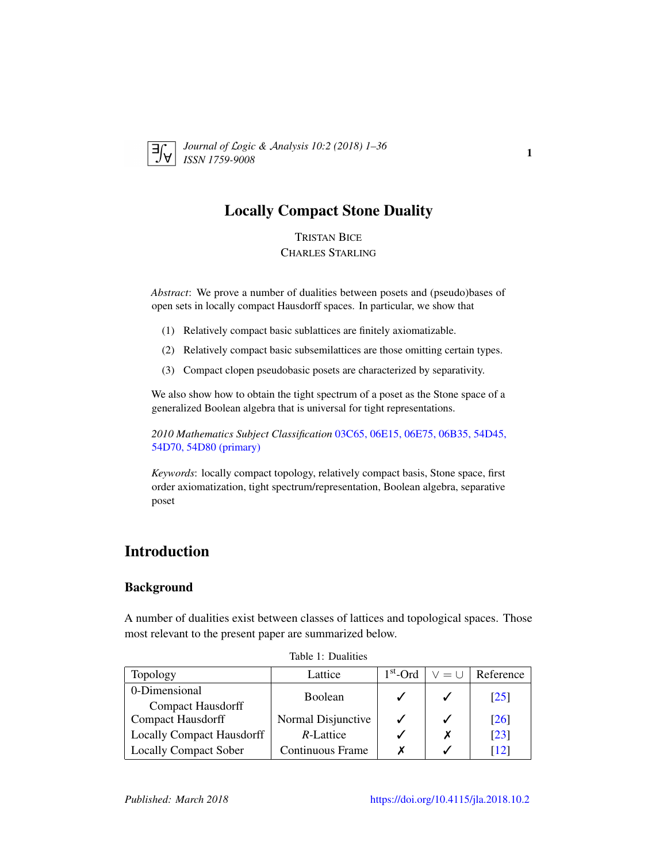<span id="page-0-1"></span>

*Journal of* L*ogic &* A*nalysis 10:2 (2018) 1–36 ISSN 1759-9008* 1

# Locally Compact Stone Duality

TRISTAN BICE CHARLES STARLING

*Abstract*: We prove a number of dualities between posets and (pseudo)bases of open sets in locally compact Hausdorff spaces. In particular, we show that

- (1) Relatively compact basic sublattices are finitely axiomatizable.
- (2) Relatively compact basic subsemilattices are those omitting certain types.
- (3) Compact clopen pseudobasic posets are characterized by separativity.

We also show how to obtain the tight spectrum of a poset as the Stone space of a generalized Boolean algebra that is universal for tight representations.

*2010 Mathematics Subject Classification* [03C65, 06E15, 06E75, 06B35, 54D45,](http://www.ams.org/mathscinet/search/mscdoc.html?code=03C65, 06E15, 06E75, 06B35, 54D45, 54D70, 54D80) [54D70, 54D80 \(primary\)](http://www.ams.org/mathscinet/search/mscdoc.html?code=03C65, 06E15, 06E75, 06B35, 54D45, 54D70, 54D80)

*Keywords*: locally compact topology, relatively compact basis, Stone space, first order axiomatization, tight spectrum/representation, Boolean algebra, separative poset

# Introduction

### Background

A number of dualities exist between classes of lattices and topological spaces. Those most relevant to the present paper are summarized below.

| Topology                         | Lattice            | $1st$ -Ord | $V = U$ | Reference          |
|----------------------------------|--------------------|------------|---------|--------------------|
| 0-Dimensional                    | <b>Boolean</b>     |            |         | $\lceil 25 \rceil$ |
| Compact Hausdorff                |                    |            |         |                    |
| <b>Compact Hausdorff</b>         | Normal Disjunctive |            |         | [26]               |
| <b>Locally Compact Hausdorff</b> | R-Lattice          |            |         | $\lceil 23 \rceil$ |
| <b>Locally Compact Sober</b>     | Continuous Frame   |            |         | $\lceil 12 \rceil$ |

<span id="page-0-0"></span>Table 1: Dualities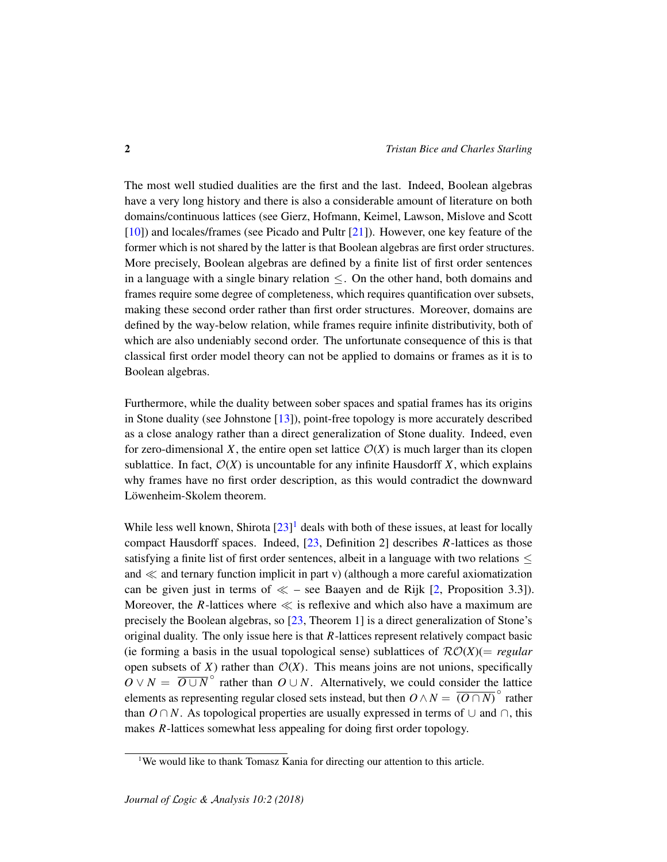The most well studied dualities are the first and the last. Indeed, Boolean algebras have a very long history and there is also a considerable amount of literature on both domains/continuous lattices (see Gierz, Hofmann, Keimel, Lawson, Mislove and Scott [\[10\]](#page-34-1)) and locales/frames (see Picado and Pultr [\[21\]](#page-35-3)). However, one key feature of the former which is not shared by the latter is that Boolean algebras are first order structures. More precisely, Boolean algebras are defined by a finite list of first order sentences in a language with a single binary relation  $\leq$ . On the other hand, both domains and frames require some degree of completeness, which requires quantification over subsets, making these second order rather than first order structures. Moreover, domains are defined by the way-below relation, while frames require infinite distributivity, both of which are also undeniably second order. The unfortunate consequence of this is that classical first order model theory can not be applied to domains or frames as it is to Boolean algebras.

Furthermore, while the duality between sober spaces and spatial frames has its origins in Stone duality (see Johnstone  $[13]$ ), point-free topology is more accurately described as a close analogy rather than a direct generalization of Stone duality. Indeed, even for zero-dimensional *X*, the entire open set lattice  $O(X)$  is much larger than its clopen sublattice. In fact,  $\mathcal{O}(X)$  is uncountable for any infinite Hausdorff *X*, which explains why frames have no first order description, as this would contradict the downward Löwenheim-Skolem theorem.

While less well known, Shirota  $[23]$ <sup>[1](#page-1-0)</sup> deals with both of these issues, at least for locally compact Hausdorff spaces. Indeed, [\[23,](#page-35-2) Definition 2] describes *R*-lattices as those satisfying a finite list of first order sentences, albeit in a language with two relations  $\leq$ and  $\ll$  and ternary function implicit in part v) (although a more careful axiomatization can be given just in terms of  $\ll$  – see Baayen and de Rijk [\[2,](#page-33-0) Proposition 3.3]). Moreover, the  $R$ -lattices where  $\ll$  is reflexive and which also have a maximum are precisely the Boolean algebras, so [\[23,](#page-35-2) Theorem 1] is a direct generalization of Stone's original duality. The only issue here is that *R*-lattices represent relatively compact basic (ie forming a basis in the usual topological sense) sublattices of  $\mathcal{RO}(X)$ (= *regular* open subsets of  $X$ ) rather than  $O(X)$ . This means joins are not unions, specifically  $\overline{O}$  ∨ *N* =  $\overline{O \cup N}$ <sup>o</sup> rather than  $O \cup N$ . Alternatively, we could consider the lattice elements as representing regular closed sets instead, but then  $O \wedge N = \overline{(O \cap N)}^{\circ}$  rather than  $O \cap N$ . As topological properties are usually expressed in terms of  $\cup$  and  $\cap$ , this makes *R*-lattices somewhat less appealing for doing first order topology.

<span id="page-1-0"></span><sup>&</sup>lt;sup>1</sup>We would like to thank Tomasz Kania for directing our attention to this article.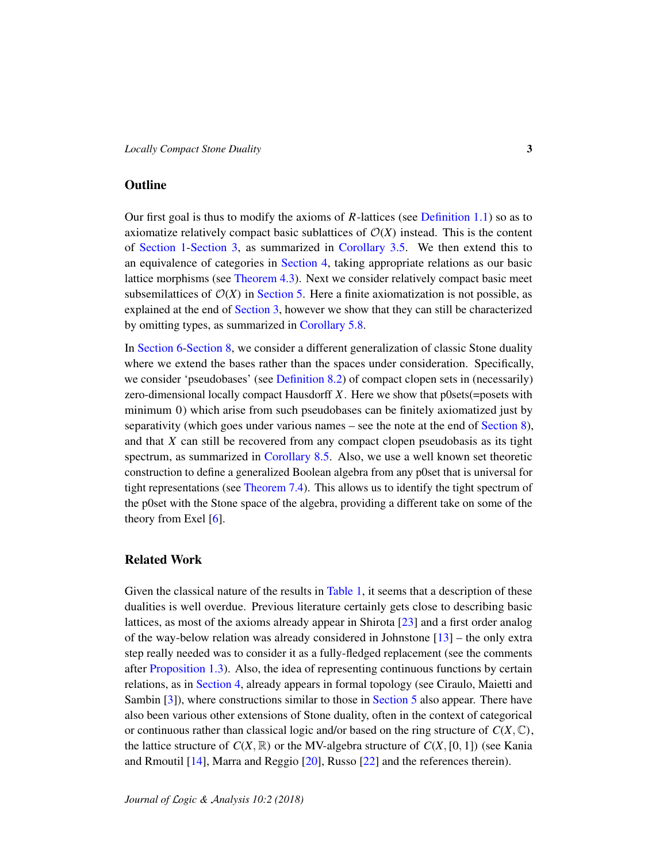### **Outline**

Our first goal is thus to modify the axioms of *R*-lattices (see [Definition 1.1\)](#page-3-0) so as to axiomatize relatively compact basic sublattices of  $\mathcal{O}(X)$  instead. This is the content of [Section 1](#page-3-1)[-Section 3,](#page-9-0) as summarized in [Corollary 3.5.](#page-12-0) We then extend this to an equivalence of categories in [Section 4,](#page-13-0) taking appropriate relations as our basic lattice morphisms (see [Theorem 4.3\)](#page-14-0). Next we consider relatively compact basic meet subsemilattices of  $O(X)$  in [Section 5.](#page-15-0) Here a finite axiomatization is not possible, as explained at the end of [Section 3,](#page-9-0) however we show that they can still be characterized by omitting types, as summarized in [Corollary 5.8.](#page-22-0)

In [Section 6-](#page-23-0)[Section 8,](#page-30-0) we consider a different generalization of classic Stone duality where we extend the bases rather than the spaces under consideration. Specifically, we consider 'pseudobases' (see [Definition 8.2\)](#page-30-1) of compact clopen sets in (necessarily) zero-dimensional locally compact Hausdorff *X*. Here we show that p0sets(=posets with minimum 0) which arise from such pseudobases can be finitely axiomatized just by separativity (which goes under various names – see the note at the end of [Section 8\)](#page-30-0), and that *X* can still be recovered from any compact clopen pseudobasis as its tight spectrum, as summarized in [Corollary 8.5.](#page-32-0) Also, we use a well known set theoretic construction to define a generalized Boolean algebra from any p0set that is universal for tight representations (see [Theorem 7.4\)](#page-28-0). This allows us to identify the tight spectrum of the p0set with the Stone space of the algebra, providing a different take on some of the theory from Exel [\[6\]](#page-34-3).

### Related Work

Given the classical nature of the results in [Table 1,](#page-0-0) it seems that a description of these dualities is well overdue. Previous literature certainly gets close to describing basic lattices, as most of the axioms already appear in Shirota [\[23\]](#page-35-2) and a first order analog of the way-below relation was already considered in Johnstone [\[13\]](#page-34-2) – the only extra step really needed was to consider it as a fully-fledged replacement (see the comments after [Proposition 1.3\)](#page-5-0). Also, the idea of representing continuous functions by certain relations, as in [Section 4,](#page-13-0) already appears in formal topology (see Ciraulo, Maietti and Sambin [\[3\]](#page-33-1)), where constructions similar to those in [Section 5](#page-15-0) also appear. There have also been various other extensions of Stone duality, often in the context of categorical or continuous rather than classical logic and/or based on the ring structure of  $C(X, \mathbb{C})$ , the lattice structure of  $C(X, \mathbb{R})$  or the MV-algebra structure of  $C(X, [0, 1])$  (see Kania and Rmoutil [\[14\]](#page-34-4), Marra and Reggio [\[20\]](#page-34-5), Russo [\[22\]](#page-35-4) and the references therein).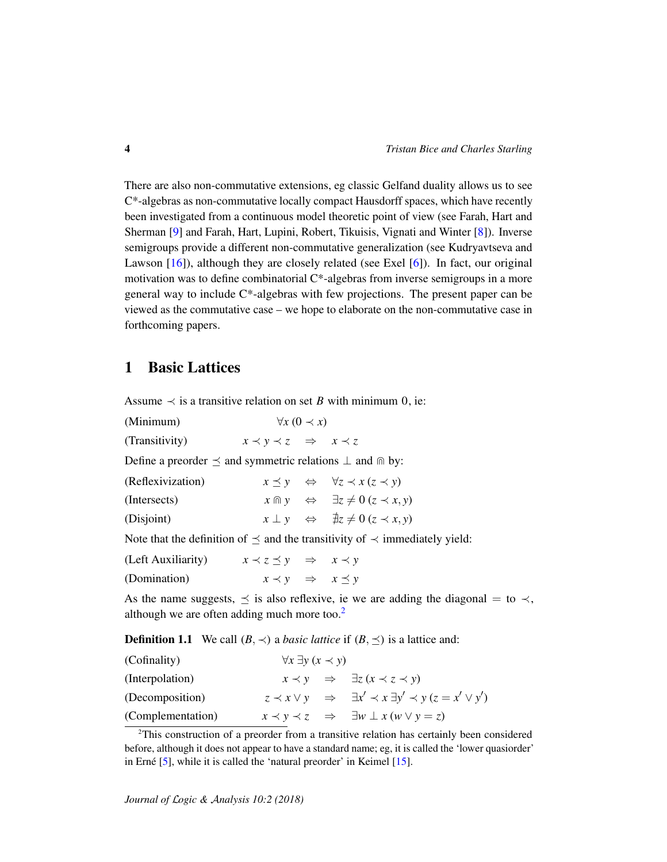There are also non-commutative extensions, eg classic Gelfand duality allows us to see C\*-algebras as non-commutative locally compact Hausdorff spaces, which have recently been investigated from a continuous model theoretic point of view (see Farah, Hart and Sherman [\[9\]](#page-34-6) and Farah, Hart, Lupini, Robert, Tikuisis, Vignati and Winter [\[8\]](#page-34-7)). Inverse semigroups provide a different non-commutative generalization (see Kudryavtseva and Lawson [\[16\]](#page-34-8)), although they are closely related (see Exel [\[6\]](#page-34-3)). In fact, our original motivation was to define combinatorial  $C^*$ -algebras from inverse semigroups in a more general way to include C\*-algebras with few projections. The present paper can be viewed as the commutative case – we hope to elaborate on the non-commutative case in forthcoming papers.

# <span id="page-3-1"></span>1 Basic Lattices

<span id="page-3-6"></span>Assume  $\prec$  is a transitive relation on set *B* with minimum 0, ie:

<span id="page-3-11"></span><span id="page-3-4"></span>

| (Minimum)                                                                 | $\forall x (0 \prec x)$                     |                                                                                          |
|---------------------------------------------------------------------------|---------------------------------------------|------------------------------------------------------------------------------------------|
| (Transitivity)                                                            | $x \prec y \prec z \Rightarrow x \prec z$   |                                                                                          |
| Define a preorder $\preceq$ and symmetric relations $\perp$ and $\ln$ by: |                                             |                                                                                          |
| (Reflexivization)                                                         |                                             | $x \preceq y \Leftrightarrow \forall z \prec x (z \prec y)$                              |
| (Intersects)                                                              |                                             | $x \cap y \Leftrightarrow \exists z \neq 0 \ (z \prec x, y)$                             |
| (Disjoint)                                                                |                                             | $x \perp y \Leftrightarrow \exists z \neq 0 \ (z \prec x, y)$                            |
|                                                                           |                                             | Note that the definition of $\preceq$ and the transitivity of $\prec$ immediately yield: |
| (Left Auxiliarity)                                                        | $x \prec z \preceq y \Rightarrow x \prec y$ |                                                                                          |

<span id="page-3-8"></span><span id="page-3-7"></span>(Domination)  $x \prec y \Rightarrow x \preceq y$ 

As the name suggests,  $\leq$  is also reflexive, ie we are adding the diagonal = to  $\prec$ , although we are often adding much more too.<sup>[2](#page-3-2)</sup>

<span id="page-3-0"></span>

| <b>Definition 1.1</b> We call $(B, \prec)$ a <i>basic lattice</i> if $(B, \preceq)$ is a lattice and: |  |  |  |  |  |
|-------------------------------------------------------------------------------------------------------|--|--|--|--|--|
|-------------------------------------------------------------------------------------------------------|--|--|--|--|--|

<span id="page-3-10"></span><span id="page-3-9"></span><span id="page-3-3"></span>

| (Cofinality)      | $\forall x \exists y (x \prec y)$ |                                                                                       |
|-------------------|-----------------------------------|---------------------------------------------------------------------------------------|
| (Interpolation)   |                                   | $x \prec y \Rightarrow \exists z (x \prec z \prec y)$                                 |
| (Decomposition)   |                                   | $z \prec x \vee y \Rightarrow \exists x' \prec x \exists y' \prec y (z = x' \vee y')$ |
| (Complementation) |                                   | $x \prec y \prec z \Rightarrow \exists w \perp x (w \vee y = z)$                      |

<span id="page-3-5"></span><span id="page-3-2"></span><sup>2</sup>This construction of a preorder from a transitive relation has certainly been considered before, although it does not appear to have a standard name; eg, it is called the 'lower quasiorder' in Erné  $[5]$  $[5]$ , while it is called the 'natural preorder' in Keimel  $[15]$ .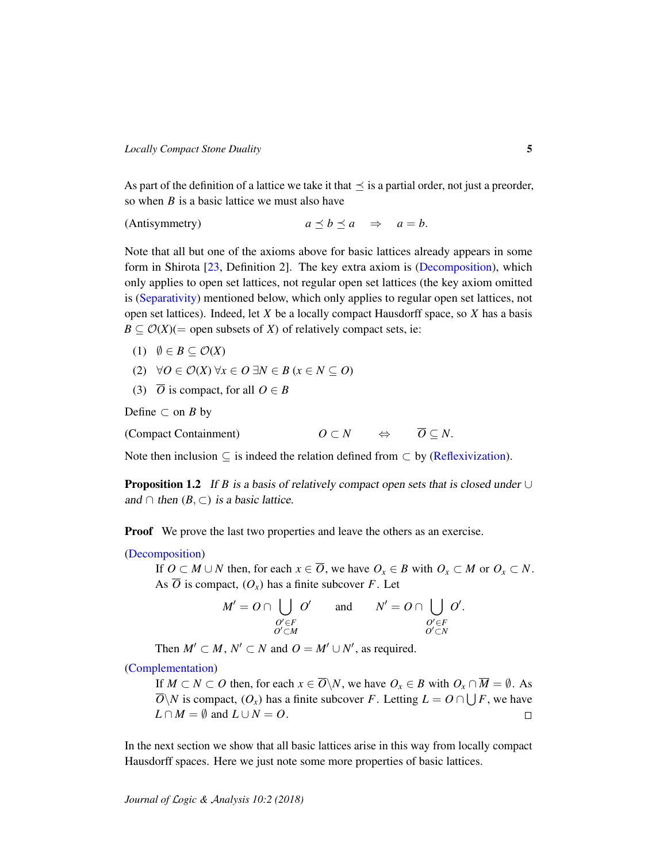As part of the definition of a lattice we take it that  $\preceq$  is a partial order, not just a preorder, so when *B* is a basic lattice we must also have

(Antisymmetry)  $a \prec b \prec a \Rightarrow a = b$ .

Note that all but one of the axioms above for basic lattices already appears in some form in Shirota [\[23,](#page-35-2) Definition 2]. The key extra axiom is [\(Decomposition\)](#page-3-3), which only applies to open set lattices, not regular open set lattices (the key axiom omitted is [\(Separativity\)](#page-22-1) mentioned below, which only applies to regular open set lattices, not open set lattices). Indeed, let *X* be a locally compact Hausdorff space, so *X* has a basis  $B \subseteq \mathcal{O}(X)$ (= open subsets of *X*) of relatively compact sets, ie:

- (1)  $\emptyset \in B \subseteq \mathcal{O}(X)$
- (2) ∀*O* ∈ O(*X*) ∀*x* ∈ *O* ∃*N* ∈ *B* (*x* ∈ *N* ⊆ *O*)
- (3)  $\overline{O}$  is compact, for all  $O \in B$

Define  $\subset$  on *B* by

<span id="page-4-0"></span>(Compact Containment)  $O \subset N \qquad \Leftrightarrow \qquad \overline{O} \subset N$ .

Note then inclusion  $\subseteq$  is indeed the relation defined from  $\subseteq$  by [\(Reflexivization\)](#page-3-4).

<span id="page-4-1"></span>**Proposition 1.2** If *B* is a basis of relatively compact open sets that is closed under  $\cup$ and  $\cap$  then  $(B, \subset)$  is a basic lattice.

**Proof** We prove the last two properties and leave the others as an exercise.

#### [\(Decomposition\)](#page-3-3)

If  $O \subset M \cup N$  then, for each  $x \in \overline{O}$ , we have  $O_x \in B$  with  $O_x \subset M$  or  $O_x \subset N$ . As  $\overline{O}$  is compact,  $(O_x)$  has a finite subcover *F*. Let

$$
M' = O \cap \bigcup_{\substack{O' \in F \\ O' \subset M}} O' \quad \text{and} \quad N' = O \cap \bigcup_{\substack{O' \in F \\ O' \subset N}} O'.
$$

Then  $M' \subset M$ ,  $N' \subset N$  and  $O = M' \cup N'$ , as required.

 $\mathbb{R}^n$ 

[\(Complementation\)](#page-3-5)

If  $M \subset N \subset O$  then, for each  $x \in \overline{O}\setminus N$ , we have  $O_x \in B$  with  $O_x \cap \overline{M} = \emptyset$ . As  $\overline{O} \backslash N$  is compact,  $(O_x)$  has a finite subcover *F*. Letting  $L = O \cap \bigcup F$ , we have  $L \cap M = \emptyset$  and  $L \cup N = O$ .  $\Box$ 

In the next section we show that all basic lattices arise in this way from locally compact Hausdorff spaces. Here we just note some more properties of basic lattices.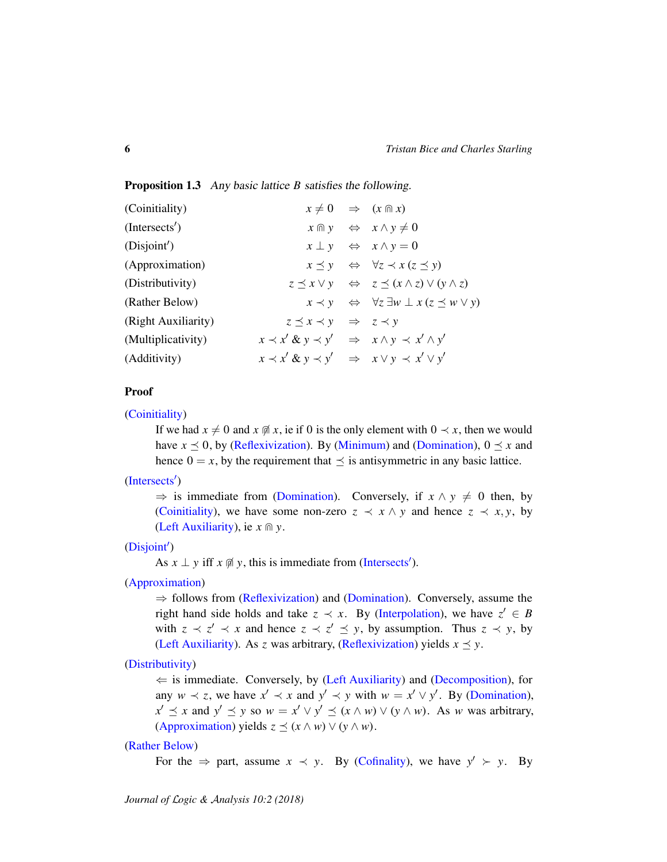#### <span id="page-5-0"></span>Proposition 1.3 Any basic lattice *B* satisfies the following.

<span id="page-5-6"></span><span id="page-5-5"></span><span id="page-5-4"></span><span id="page-5-3"></span><span id="page-5-2"></span><span id="page-5-1"></span>

| (Coinitiality)      |                                                                    | $x \neq 0 \Rightarrow (x \text{ m } x)$                                       |
|---------------------|--------------------------------------------------------------------|-------------------------------------------------------------------------------|
| (Interest')         |                                                                    | $x \oplus y \Leftrightarrow x \wedge y \neq 0$                                |
| (Disjoint')         |                                                                    | $x \perp y \Leftrightarrow x \wedge y = 0$                                    |
| (Approximation)     |                                                                    | $x \preceq y \Leftrightarrow \forall z \prec x (z \preceq y)$                 |
| (Distributivity)    |                                                                    | $z \preceq x \vee y \Leftrightarrow z \preceq (x \wedge z) \vee (y \wedge z)$ |
| (Rather Below)      |                                                                    | $x \prec y \Leftrightarrow \forall z \exists w \perp x (z \preceq w \vee y)$  |
| (Right Auxiliarity) | $z \preceq x \prec y \Rightarrow z \prec y$                        |                                                                               |
| (Multiplicativity)  | $x \prec x' \& y \prec y' \Rightarrow x \land y \prec x' \land y'$ |                                                                               |
| (Additivity)        | $x \prec x' \& y \prec y' \Rightarrow x \vee y \prec x' \vee y'$   |                                                                               |

#### <span id="page-5-9"></span><span id="page-5-8"></span><span id="page-5-7"></span>Proof

[\(Coinitiality\)](#page-5-1)

If we had  $x \neq 0$  and  $x \notin \mathfrak{g}$  *x*, ie if 0 is the only element with  $0 \prec x$ , then we would have  $x \le 0$ , by [\(Reflexivization\)](#page-3-4). By [\(Minimum\)](#page-3-6) and [\(Domination\)](#page-3-7),  $0 \le x$  and hence  $0 = x$ , by the requirement that  $\leq$  is antisymmetric in any basic lattice.

## [\(Intersects](#page-5-2)')

 $\Rightarrow$  is immediate from [\(Domination\)](#page-3-7). Conversely, if  $x \wedge y \neq 0$  then, by [\(Coinitiality\)](#page-5-1), we have some non-zero  $z \prec x \land y$  and hence  $z \prec x, y$ , by [\(Left Auxiliarity\)](#page-3-8), ie  $x \oplus y$ .

## $(Disjoint')$  $(Disjoint')$

As  $x \perp y$  iff  $x \notin y$ , this is immediate from [\(Intersects](#page-5-2)').

### [\(Approximation\)](#page-5-4)

⇒ follows from [\(Reflexivization\)](#page-3-4) and [\(Domination\)](#page-3-7). Conversely, assume the right hand side holds and take  $z \prec x$ . By [\(Interpolation\)](#page-3-9), we have  $z' \in B$ with  $z \prec z' \prec x$  and hence  $z \prec z' \preceq y$ , by assumption. Thus  $z \prec y$ , by [\(Left Auxiliarity\)](#page-3-8). As *z* was arbitrary, [\(Reflexivization\)](#page-3-4) yields  $x \leq y$ .

### [\(Distributivity\)](#page-5-5)

 $\Leftarrow$  is immediate. Conversely, by [\(Left Auxiliarity\)](#page-3-8) and [\(Decomposition\)](#page-3-3), for any  $w \prec z$ , we have  $x' \prec x$  and  $y' \prec y$  with  $w = x' \lor y'$ . By [\(Domination\)](#page-3-7),  $x' \preceq x$  and  $y' \preceq y$  so  $w = x' \vee y' \preceq (x \wedge w) \vee (y \wedge w)$ . As *w* was arbitrary, [\(Approximation\)](#page-5-4) yields  $z \preceq (x \wedge w) \vee (y \wedge w)$ .

#### [\(Rather Below\)](#page-5-6)

For the  $\Rightarrow$  part, assume  $x \prec y$ . By [\(Cofinality\)](#page-3-10), we have  $y' \succ y$ . By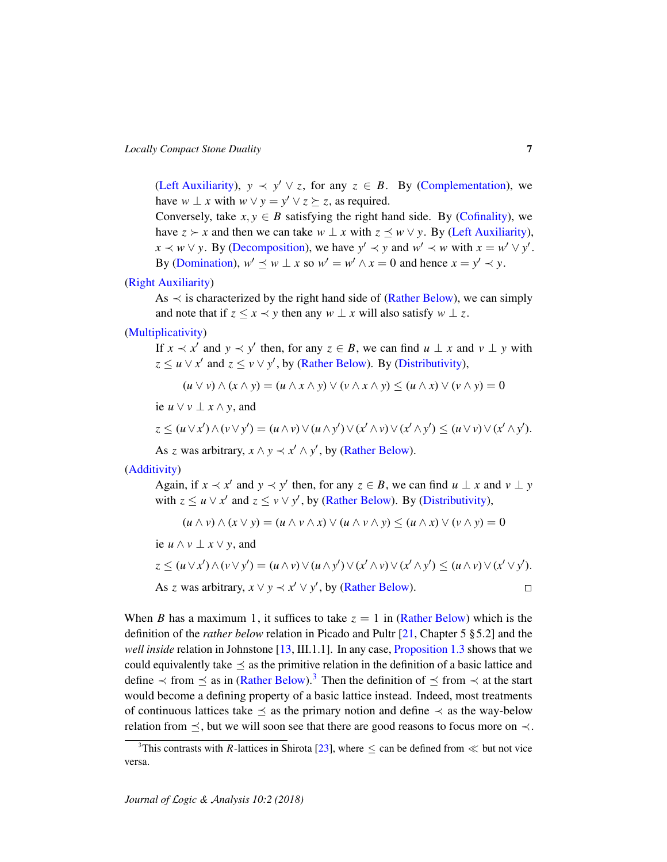[\(Left Auxiliarity\)](#page-3-8),  $y \prec y' \lor z$ , for any  $z \in B$ . By [\(Complementation\)](#page-3-5), we have  $w \perp x$  with  $w \vee y = y' \vee z \succeq z$ , as required.

Conversely, take  $x, y \in B$  satisfying the right hand side. By [\(Cofinality\)](#page-3-10), we have  $z \succ x$  and then we can take  $w \perp x$  with  $z \prec w \lor y$ . By [\(Left Auxiliarity\)](#page-3-8),  $x \prec w \lor y$ . By [\(Decomposition\)](#page-3-3), we have  $y' \prec y$  and  $w' \prec w$  with  $x = w' \lor y'$ . By [\(Domination\)](#page-3-7),  $w' \leq w \perp x$  so  $w' = w' \land x = 0$  and hence  $x = y' \prec y$ .

### [\(Right Auxiliarity\)](#page-5-7)

As  $\prec$  is characterized by the right hand side of [\(Rather Below\)](#page-5-6), we can simply and note that if  $z \leq x \leq y$  then any  $w \perp x$  will also satisfy  $w \perp z$ .

### [\(Multiplicativity\)](#page-5-8)

If  $x \prec x'$  and  $y \prec y'$  then, for any  $z \in B$ , we can find  $u \perp x$  and  $v \perp y$  with  $z \le u \vee x'$  and  $z \le v \vee y'$ , by [\(Rather Below\)](#page-5-6). By [\(Distributivity\)](#page-5-5),

$$
(u \vee v) \wedge (x \wedge y) = (u \wedge x \wedge y) \vee (v \wedge x \wedge y) \le (u \wedge x) \vee (v \wedge y) = 0
$$

ie  $u ∨ v ⊥ x ∧ y$ , and

$$
z \le (u \vee x') \wedge (v \vee y') = (u \wedge v) \vee (u \wedge y') \vee (x' \wedge v) \vee (x' \wedge y') \le (u \vee v) \vee (x' \wedge y').
$$

As *z* was arbitrary,  $x \wedge y \prec x' \wedge y'$ , by [\(Rather Below\)](#page-5-6).

### [\(Additivity\)](#page-5-9)

Again, if  $x \prec x'$  and  $y \prec y'$  then, for any  $z \in B$ , we can find  $u \perp x$  and  $v \perp y$ with  $z \le u \vee x'$  and  $z \le v \vee y'$ , by [\(Rather Below\)](#page-5-6). By [\(Distributivity\)](#page-5-5),

$$
(u \wedge v) \wedge (x \vee y) = (u \wedge v \wedge x) \vee (u \wedge v \wedge y) \le (u \wedge x) \vee (v \wedge y) = 0
$$

ie  $u \wedge v \perp x \vee y$ , and

$$
z \le (u \vee x') \wedge (v \vee y') = (u \wedge v) \vee (u \wedge y') \vee (x' \wedge v) \vee (x' \wedge y') \le (u \wedge v) \vee (x' \vee y').
$$
  
As *z* was arbitrary,  $x \vee y \prec x' \vee y'$ , by (Rather Below).

When *B* has a maximum 1, it suffices to take  $z = 1$  in [\(Rather Below\)](#page-5-6) which is the definition of the *rather below* relation in Picado and Pultr [\[21,](#page-35-3) Chapter 5 § 5.2] and the *well inside* relation in Johnstone [\[13,](#page-34-2) III.1.1]. In any case, [Proposition 1.3](#page-5-0) shows that we could equivalently take  $\preceq$  as the primitive relation in the definition of a basic lattice and define  $\prec$  from  $\preceq$  as in [\(Rather Below\)](#page-5-6).<sup>[3](#page-6-0)</sup> Then the definition of  $\preceq$  from  $\prec$  at the start would become a defining property of a basic lattice instead. Indeed, most treatments of continuous lattices take  $\leq$  as the primary notion and define  $\prec$  as the way-below relation from  $\preceq$ , but we will soon see that there are good reasons to focus more on  $\prec$ .

<span id="page-6-0"></span><sup>&</sup>lt;sup>3</sup>This contrasts with *R*-lattices in Shirota [\[23\]](#page-35-2), where  $\leq$  can be defined from  $\ll$  but not vice versa.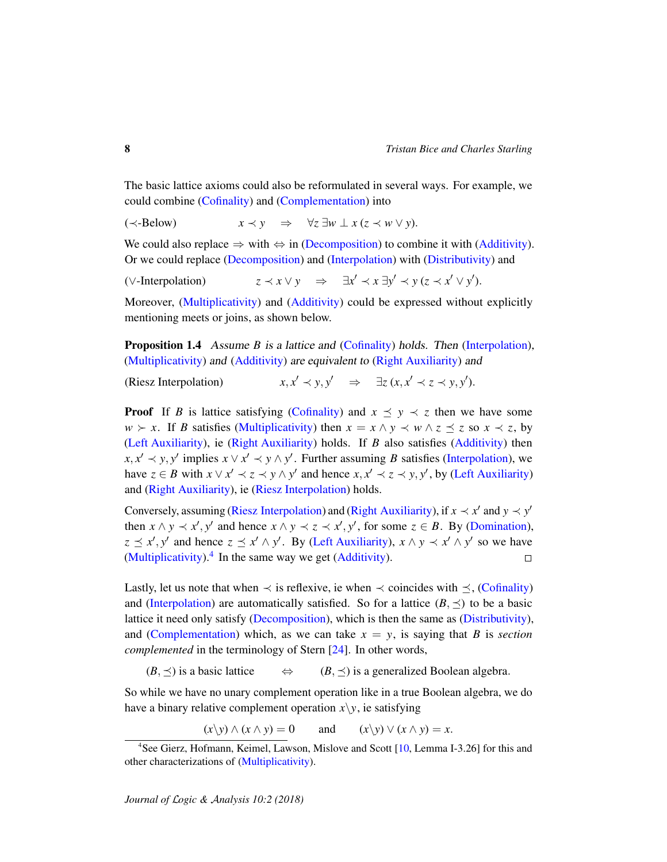The basic lattice axioms could also be reformulated in several ways. For example, we could combine [\(Cofinality\)](#page-3-10) and [\(Complementation\)](#page-3-5) into

<span id="page-7-3"></span>
$$
(\prec \text{Below}) \qquad x \prec y \quad \Rightarrow \quad \forall z \exists w \perp x \, (z \prec w \vee y).
$$

We could also replace  $\Rightarrow$  with  $\Leftrightarrow$  in [\(Decomposition\)](#page-3-3) to combine it with [\(Additivity\)](#page-5-9). Or we could replace [\(Decomposition\)](#page-3-3) and [\(Interpolation\)](#page-3-9) with [\(Distributivity\)](#page-5-5) and

<span id="page-7-2"></span> $(\vee\text{-Interpolation})$   $z \prec x \lor y \Rightarrow \exists x' \prec x \exists y' \prec y (z \prec x' \lor y').$ 

Moreover, [\(Multiplicativity\)](#page-5-8) and [\(Additivity\)](#page-5-9) could be expressed without explicitly mentioning meets or joins, as shown below.

**Proposition 1.4** Assume *B* is a lattice and [\(Cofinality\)](#page-3-10) holds. Then [\(Interpolation\)](#page-3-9), [\(Multiplicativity\)](#page-5-8) and [\(Additivity\)](#page-5-9) are equivalent to [\(Right Auxiliarity\)](#page-5-7) and

<span id="page-7-0"></span>(Riesz Interpolation) *x*, *x*  $y' \prec y, y' \Rightarrow \exists z \ (x, x' \prec z \prec y, y').$ 

**Proof** If *B* is lattice satisfying [\(Cofinality\)](#page-3-10) and  $x \leq y \leq z$  then we have some  $w \succ x$ . If *B* satisfies [\(Multiplicativity\)](#page-5-8) then  $x = x \land y \prec w \land z \preceq z$  so  $x \prec z$ , by [\(Left Auxiliarity\)](#page-3-8), ie [\(Right Auxiliarity\)](#page-5-7) holds. If *B* also satisfies [\(Additivity\)](#page-5-9) then  $x, x' \prec y, y'$  implies  $x \lor x' \prec y \land y'$ . Further assuming *B* satisfies [\(Interpolation\)](#page-3-9), we have  $z \in B$  with  $x \lor x' \prec z \prec y \land y'$  and hence  $x, x' \prec z \prec y, y'$ , by [\(Left Auxiliarity\)](#page-3-8) and [\(Right Auxiliarity\)](#page-5-7), ie [\(Riesz Interpolation\)](#page-7-0) holds.

Conversely, assuming [\(Riesz Interpolation\)](#page-7-0) and [\(Right Auxiliarity\)](#page-5-7), if  $x \prec x'$  and  $y \prec y'$ then  $x \wedge y \prec x'$ ,  $y'$  and hence  $x \wedge y \prec z \prec x'$ ,  $y'$ , for some  $z \in B$ . By [\(Domination\)](#page-3-7),  $z \preceq x', y'$  and hence  $z \preceq x' \wedge y'$ . By [\(Left Auxiliarity\)](#page-3-8),  $x \wedge y \prec x' \wedge y'$  so we have [\(Multiplicativity\)](#page-5-8). $4$  In the same way we get [\(Additivity\)](#page-5-9).  $\Box$ 

Lastly, let us note that when  $\prec$  is reflexive, ie when  $\prec$  coincides with  $\prec$ , [\(Cofinality\)](#page-3-10) and [\(Interpolation\)](#page-3-9) are automatically satisfied. So for a lattice  $(B, \preceq)$  to be a basic lattice it need only satisfy [\(Decomposition\)](#page-3-3), which is then the same as [\(Distributivity\)](#page-5-5), and [\(Complementation\)](#page-3-5) which, as we can take  $x = y$ , is saying that *B* is *section complemented* in the terminology of Stern [\[24\]](#page-35-5). In other words,

 $(B, \preceq)$  is a basic lattice  $\Leftrightarrow$   $(B, \preceq)$  is a generalized Boolean algebra.

So while we have no unary complement operation like in a true Boolean algebra, we do have a binary relative complement operation  $x\$  y, ie satisfying

 $(x\ y) \land (x \land y) = 0$  and  $(x\ y) \lor (x \land y) = x$ .

<span id="page-7-1"></span><sup>4</sup>See Gierz, Hofmann, Keimel, Lawson, Mislove and Scott [\[10,](#page-34-1) Lemma I-3.26] for this and other characterizations of [\(Multiplicativity\)](#page-5-8).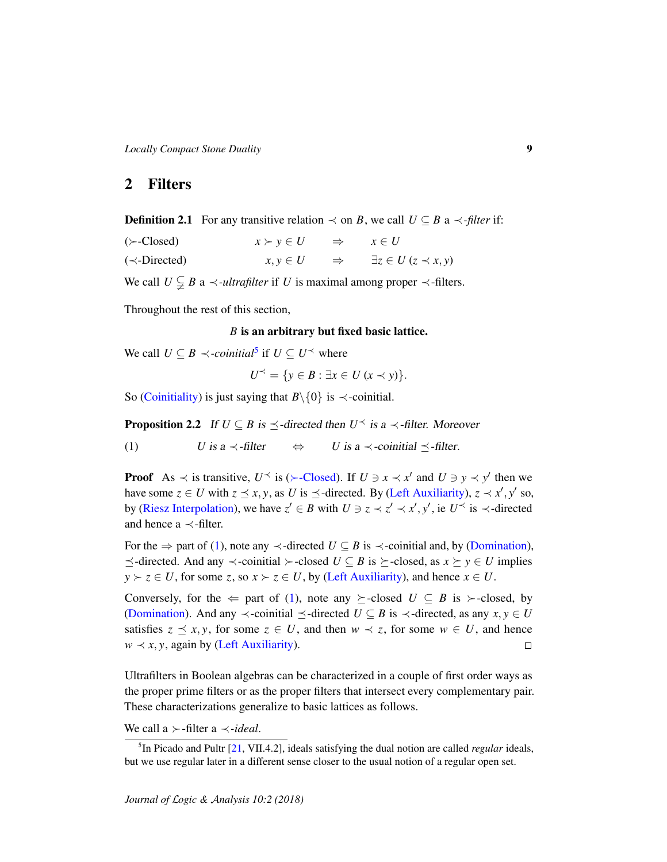*Locally Compact Stone Duality* 9

# 2 Filters

**Definition 2.1** For any transitive relation  $\prec$  on *B*, we call *U* ⊆ *B* a  $\prec$ -*filter* if:

<span id="page-8-1"></span>

| $(\succ$ -Closed)   | $x \succ y \in U$ |               | $\Rightarrow$ $x \in U$             |
|---------------------|-------------------|---------------|-------------------------------------|
| $(\prec$ -Directed) | $x, y \in U$      | $\Rightarrow$ | $\exists z \in U \, (z \prec x, y)$ |

We call  $U \subsetneq B$  a  $\prec$ *-ultrafilter* if *U* is maximal among proper  $\prec$ -filters.

Throughout the rest of this section,

### *B* is an arbitrary but fixed basic lattice.

We call  $U \subseteq B \prec$ -*coinitial*<sup>[5](#page-8-0)</sup> if  $U \subseteq U^{\prec}$  where

$$
U^{\prec} = \{ y \in B : \exists x \in U \ (x \prec y) \}.
$$

So [\(Coinitiality\)](#page-5-1) is just saying that  $B \setminus \{0\}$  is  $\prec$ -coinitial.

<span id="page-8-3"></span>**Proposition 2.2** If  $U \subseteq B$  is  $\preceq$ -directed then  $U^{\preceq}$  is a  $\prec$ -filter. Moreover

<span id="page-8-2"></span>(1) *U* is a  $\prec$ -filter  $\Leftrightarrow$  *U* is a  $\prec$ -coinitial  $\prec$ -filter.

**Proof** As  $\prec$  is transitive,  $U^{\prec}$  is ( $\succ$ [-Closed\)](#page-8-1). If  $U \ni x \prec x'$  and  $U \ni y \prec y'$  then we have some  $z \in U$  with  $z \leq x, y$ , as *U* is  $\leq$ -directed. By [\(Left Auxiliarity\)](#page-3-8),  $z \prec x', y'$  so, by [\(Riesz Interpolation\)](#page-7-0), we have  $z' \in B$  with  $U \ni z \prec z' \prec x', y'$ , ie  $U \prec$  is  $\prec$ -directed and hence a  $\prec$ -filter.

For the  $\Rightarrow$  part of [\(1\)](#page-8-2), note any  $\prec$ -directed  $U \subseteq B$  is  $\prec$ -coinitial and, by [\(Domination\)](#page-3-7),  $\preceq$ -directed. And any  $\prec$ -coinitial  $\succ$ -closed  $U \subseteq B$  is  $\succeq$ -closed, as  $x \succeq y \in U$  implies  $y \succ z \in U$ , for some *z*, so  $x \succ z \in U$ , by [\(Left Auxiliarity\)](#page-3-8), and hence  $x \in U$ .

Conversely, for the  $\Leftarrow$  part of [\(1\)](#page-8-2), note any  $\succeq$ -closed *U*  $\subseteq$  *B* is  $\succ$ -closed, by [\(Domination\)](#page-3-7). And any  $\prec$ -coinitial  $\preceq$ -directed *U* ⊆ *B* is  $\prec$ -directed, as any *x*, *y* ∈ *U* satisfies  $z \preceq x, y$ , for some  $z \in U$ , and then  $w \prec z$ , for some  $w \in U$ , and hence  $w \prec x, y$ , again by [\(Left Auxiliarity\)](#page-3-8).  $\Box$ 

Ultrafilters in Boolean algebras can be characterized in a couple of first order ways as the proper prime filters or as the proper filters that intersect every complementary pair. These characterizations generalize to basic lattices as follows.

We call a  $\succ$ -filter a  $\prec$ -*ideal*.

<span id="page-8-0"></span><sup>5</sup> In Picado and Pultr [\[21,](#page-35-3) VII.4.2], ideals satisfying the dual notion are called *regular* ideals, but we use regular later in a different sense closer to the usual notion of a regular open set.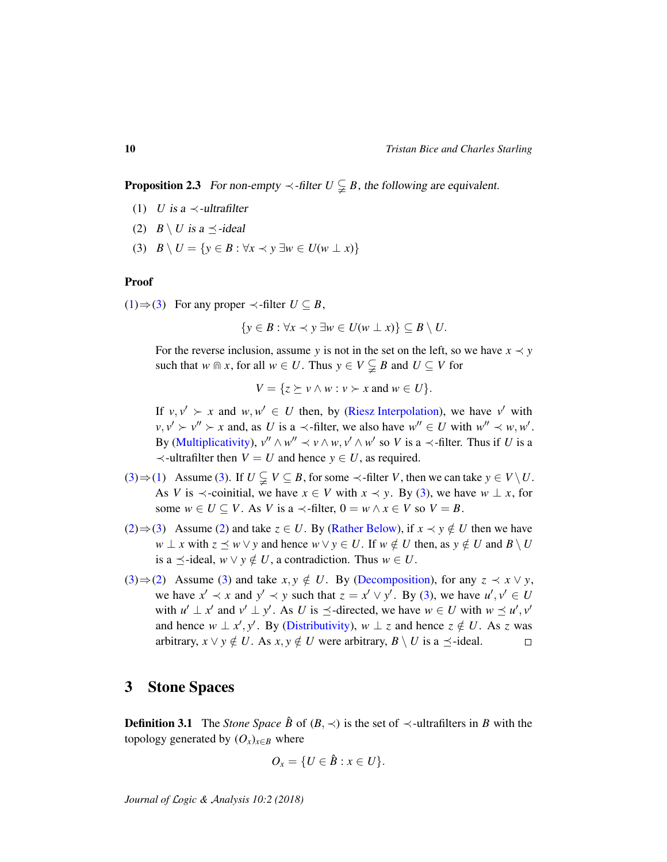<span id="page-9-4"></span>**Proposition 2.3** For non-empty  $\prec$ -filter  $U \subsetneq B$ , the following are equivalent.

- <span id="page-9-1"></span>(1) *U* is a  $\prec$ -ultrafilter
- <span id="page-9-3"></span>(2)  $B \setminus U$  is a  $\preceq$ -ideal
- <span id="page-9-2"></span>(3)  $B \setminus U = \{y \in B : \forall x \prec y \exists w \in U(w \perp x)\}\$

#### Proof

[\(1\)](#page-9-1)  $\Rightarrow$  [\(3\)](#page-9-2) For any proper  $\prec$ -filter *U* ⊆ *B*,

$$
\{y \in B : \forall x \prec y \exists w \in U(w \perp x)\} \subseteq B \setminus U.
$$

For the reverse inclusion, assume *y* is not in the set on the left, so we have  $x \prec y$ such that *w*  $\text{m } x$ , for all *w*  $\in U$ . Thus  $y \in V \subsetneq B$  and  $U \subseteq V$  for

$$
V = \{ z \succeq v \wedge w : v \succ x \text{ and } w \in U \}.
$$

If  $v, v' \succ x$  and  $w, w' \in U$  then, by [\(Riesz Interpolation\)](#page-7-0), we have v' with  $v, v' \succ v'' \succ x$  and, as *U* is a  $\prec$ -filter, we also have  $w'' \in U$  with  $w'' \prec w, w'$ . By [\(Multiplicativity\)](#page-5-8),  $v'' \wedge w'' \prec v \wedge w$ ,  $v' \wedge w'$  so *V* is a  $\prec$ -filter. Thus if *U* is a  $\prec$ -ultrafilter then  $V = U$  and hence  $y \in U$ , as required.

- $(3) \Rightarrow (1)$  $(3) \Rightarrow (1)$  $(3) \Rightarrow (1)$  Assume (3). If  $U \subsetneq V \subseteq B$ , for some  $\prec$ -filter *V*, then we can take  $y \in V \setminus U$ . As *V* is  $\prec$ -coinitial, we have  $x \in V$  with  $x \prec y$ . By [\(3\)](#page-9-2), we have  $w \perp x$ , for some  $w \in U \subseteq V$ . As *V* is a  $\prec$ -filter,  $0 = w \land x \in V$  so  $V = B$ .
- [\(2\)](#page-9-3)  $\Rightarrow$  [\(3\)](#page-9-2) Assume (2) and take *z* ∈ *U*. By [\(Rather Below\)](#page-5-6), if *x*  $\prec$  *y* ∉ *U* then we have *w* ⊥ *x* with  $z \leq w \vee y$  and hence  $w \vee y \in U$ . If  $w \notin U$  then, as  $y \notin U$  and  $B \setminus U$ is a  $\prec$ -ideal,  $w \lor y \notin U$ , a contradiction. Thus  $w \in U$ .
- [\(3\)](#page-9-2)⇒[\(2\)](#page-9-3) Assume (3) and take *x*, *y* ∉ *U*. By [\(Decomposition\)](#page-3-3), for any  $z \prec x \lor y$ , we have  $x' \prec x$  and  $y' \prec y$  such that  $z = x' \lor y'$ . By [\(3\)](#page-9-2), we have  $u', v' \in U$ with  $u' \perp x'$  and  $v' \perp y'$ . As *U* is  $\preceq$ -directed, we have  $w \in U$  with  $w \preceq u', v'$ and hence  $w \perp x'$ , *y'*. By [\(Distributivity\)](#page-5-5),  $w \perp z$  and hence  $z \notin U$ . As *z* was arbitrary,  $x \lor y \notin U$ . As  $x, y \notin U$  were arbitrary,  $B \setminus U$  is a  $\preceq$ -ideal.  $\Box$

## <span id="page-9-0"></span>3 Stone Spaces

**Definition 3.1** The *Stone Space*  $\hat{B}$  of  $(B, \prec)$  is the set of  $\prec$ -ultrafilters in *B* with the topology generated by  $(O_x)_{x \in B}$  where

$$
O_x = \{U \in \hat{B} : x \in U\}.
$$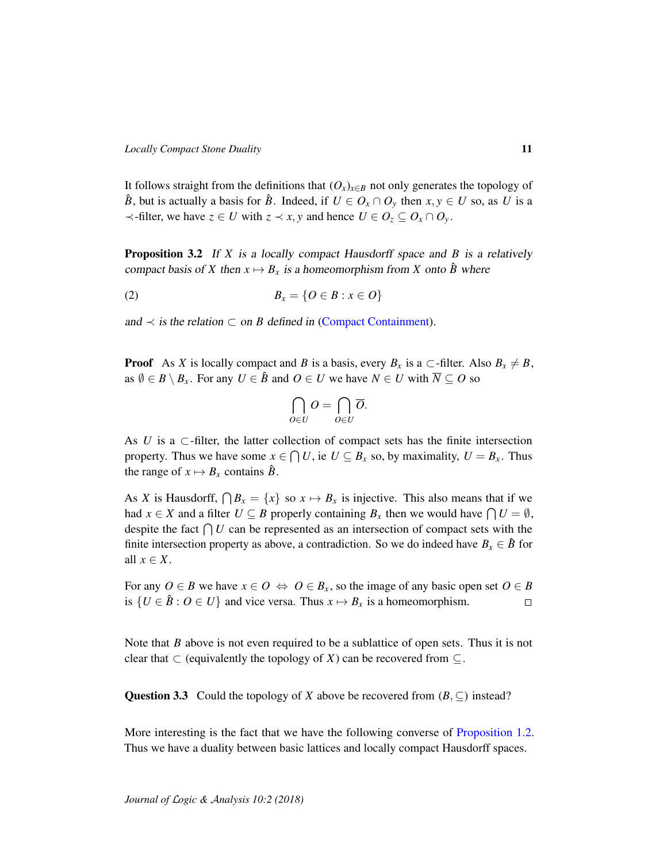It follows straight from the definitions that  $(O_x)_{x \in B}$  not only generates the topology of  $\hat{B}$ , but is actually a basis for  $\hat{B}$ . Indeed, if  $U \in O_x \cap O_y$  then  $x, y \in U$  so, as *U* is a  $\prec$ -filter, we have  $z \in U$  with  $z \prec x, y$  and hence  $U \in O_z \subseteq O_x \cap O_y$ .

<span id="page-10-0"></span>Proposition 3.2 If *X* is a locally compact Hausdorff space and *B* is a relatively compact basis of *X* then  $x \mapsto B_x$  is a homeomorphism from *X* onto  $\hat{B}$  where

$$
(2) \hspace{1cm} B_x = \{O \in B : x \in O\}
$$

and  $\prec$  is the relation  $\subset$  on *B* defined in [\(Compact Containment\)](#page-4-0).

**Proof** As *X* is locally compact and *B* is a basis, every  $B_x$  is a  $\subset$ -filter. Also  $B_x \neq B$ , as  $\emptyset \in B \setminus B_x$ . For any  $U \in \hat{B}$  and  $O \in U$  we have  $N \in U$  with  $\overline{N} \subseteq O$  so

$$
\bigcap_{O\in U}O=\bigcap_{O\in U}\overline{O}.
$$

As  $U$  is a  $\subset$ -filter, the latter collection of compact sets has the finite intersection property. Thus we have some  $x \in \bigcap U$ , ie  $U \subseteq B_x$  so, by maximality,  $U = B_x$ . Thus the range of  $x \mapsto B_x$  contains  $\hat{B}$ .

As *X* is Hausdorff,  $\bigcap B_x = \{x\}$  so  $x \mapsto B_x$  is injective. This also means that if we had  $x \in X$  and a filter  $U \subseteq B$  properly containing  $B_x$  then we would have  $\bigcap U = \emptyset$ , despite the fact  $\bigcap U$  can be represented as an intersection of compact sets with the finite intersection property as above, a contradiction. So we do indeed have  $B_x \in \hat{B}$  for all  $x \in X$ .

For any  $O \in B$  we have  $x \in O \Leftrightarrow O \in B_x$ , so the image of any basic open set  $O \in B$ is  $\{U \in \hat{B} : O \in U\}$  and vice versa. Thus  $x \mapsto B_x$  is a homeomorphism.  $\Box$ 

Note that *B* above is not even required to be a sublattice of open sets. Thus it is not clear that  $\subset$  (equivalently the topology of *X*) can be recovered from  $\subseteq$ .

Question 3.3 Could the topology of *X* above be recovered from  $(B, \subseteq)$  instead?

More interesting is the fact that we have the following converse of [Proposition 1.2.](#page-4-1) Thus we have a duality between basic lattices and locally compact Hausdorff spaces.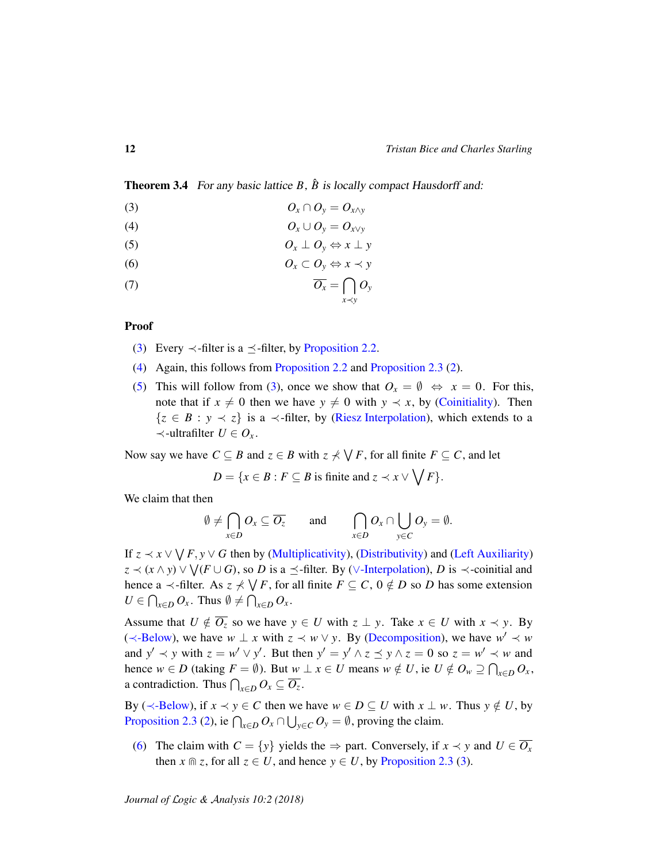<span id="page-11-5"></span>Theorem 3.4 For any basic lattice *B*,  $\hat{B}$  is locally compact Hausdorff and:

<span id="page-11-1"></span><span id="page-11-0"></span>
$$
(3) \t\t\t\t O_x \cap O_y = O_{x \wedge y}
$$

<span id="page-11-2"></span>(4) *O<sup>x</sup>* ∪ *O<sup>y</sup>* = *Ox*∨*<sup>y</sup>*

<span id="page-11-3"></span>
$$
(5) \t\t\t\t O_x \perp O_y \Leftrightarrow x \perp y
$$

(6) *O<sup>x</sup>* ⊂ *O<sup>y</sup>* ⇔ *x* ≺ *y*

<span id="page-11-4"></span>
$$
\overline{O_x} = \bigcap_{x \prec y} O_y
$$

#### Proof

- [\(3\)](#page-11-0) Every  $\prec$ -filter is a  $\prec$ -filter, by [Proposition 2.2.](#page-8-3)
- [\(4\)](#page-11-1) Again, this follows from [Proposition 2.2](#page-8-3) and [Proposition 2.3](#page-9-4) [\(2\)](#page-9-3).
- [\(5\)](#page-11-2) This will follow from [\(3\)](#page-11-0), once we show that  $O_x = \emptyset \Leftrightarrow x = 0$ . For this, note that if  $x \neq 0$  then we have  $y \neq 0$  with  $y \prec x$ , by [\(Coinitiality\)](#page-5-1). Then  $\{z \in B : y \prec z\}$  is a  $\prec$ -filter, by [\(Riesz Interpolation\)](#page-7-0), which extends to a ≺-ultrafilter *U* ∈ *O<sup>x</sup>* .

Now say we have  $C \subseteq B$  and  $z \in B$  with  $z \nless \bigvee F$ , for all finite  $F \subseteq C$ , and let

 $D = \{x \in B : F \subseteq B \text{ is finite and } z \prec x \vee \bigvee F\}.$ 

We claim that then

$$
\emptyset \neq \bigcap_{x \in D} O_x \subseteq \overline{O_z} \quad \text{and} \quad \bigcap_{x \in D} O_x \cap \bigcup_{y \in C} O_y = \emptyset.
$$

If  $z \prec x \vee \bigvee F$ ,  $y \vee G$  then by [\(Multiplicativity\)](#page-5-8), [\(Distributivity\)](#page-5-5) and [\(Left Auxiliarity\)](#page-3-8)  $z \prec (x \wedge y) \vee \bigvee (F \cup G)$ , so *D* is a  $\preceq$ -filter. By ( $\vee$ [-Interpolation\)](#page-7-2), *D* is  $\prec$ -coinitial and hence a  $\prec$ -filter. As  $z \not\prec \bigvee F$ , for all finite  $F \subseteq C$ ,  $0 \notin D$  so *D* has some extension  $U \in \bigcap_{x \in D} O_x$ . Thus  $\emptyset \neq \bigcap_{x \in D} O_x$ .

Assume that  $U \notin \overline{O_z}$  so we have  $y \in U$  with  $z \perp y$ . Take  $x \in U$  with  $x \prec y$ . By ( $\prec$ [-Below\)](#page-7-3), we have *w* ⊥ *x* with  $z \prec w \lor y$ . By [\(Decomposition\)](#page-3-3), we have  $w' \prec w$ and  $y' \prec y$  with  $z = w' \lor y'$ . But then  $y' = y' \land z \preceq y \land z = 0$  so  $z = w' \prec w$  and hence  $w \in D$  (taking  $F = \emptyset$ ). But  $w \perp x \in U$  means  $w \notin U$ , ie  $U \notin O_w \supseteq \bigcap_{x \in D} O_x$ , a contradiction. Thus  $\bigcap_{x \in D} O_x \subseteq \overline{O_z}$ .

By ( $\prec$ [-Below\)](#page-7-3), if  $x \prec y \in C$  then we have  $w \in D \subseteq U$  with  $x \perp w$ . Thus  $y \notin U$ , by [Proposition 2.3](#page-9-4) [\(2\)](#page-9-3), ie  $\bigcap_{x \in D} O_x \cap \bigcup_{y \in C} O_y = \emptyset$ , proving the claim.

[\(6\)](#page-11-3) The claim with  $C = \{y\}$  yields the  $\Rightarrow$  part. Conversely, if  $x \prec y$  and  $U \in \overline{O_x}$ then  $x \cap z$ , for all  $z \in U$ , and hence  $y \in U$ , by [Proposition 2.3](#page-9-4) [\(3\)](#page-9-2).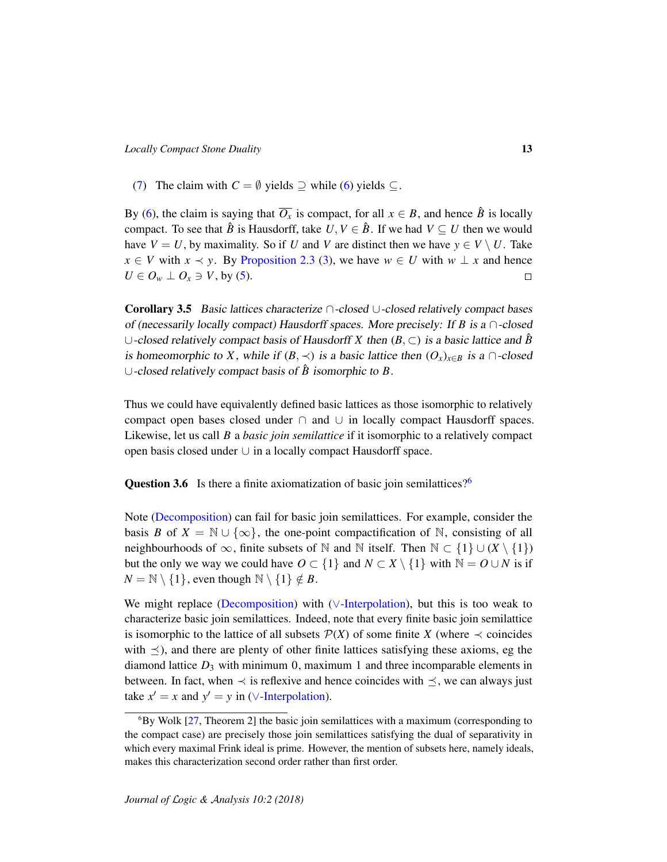[\(7\)](#page-11-4) The claim with  $C = \emptyset$  yields  $\supseteq$  while [\(6\)](#page-11-3) yields  $\subseteq$ .

By [\(6\)](#page-11-3), the claim is saying that  $\overline{O_x}$  is compact, for all  $x \in B$ , and hence  $\hat{B}$  is locally compact. To see that  $\hat{B}$  is Hausdorff, take  $U, V \in \hat{B}$ . If we had  $V \subseteq U$  then we would have  $V = U$ , by maximality. So if *U* and *V* are distinct then we have  $y \in V \setminus U$ . Take *x* ∈ *V* with *x*  $\prec$  *y*. By [Proposition 2.3](#page-9-4) [\(3\)](#page-9-2), we have *w* ∈ *U* with *w* ⊥ *x* and hence  $U \in O_w \perp O_x \ni V$ , by [\(5\)](#page-11-2).  $\Box$ 

<span id="page-12-0"></span>Corollary 3.5 Basic lattices characterize ∩-closed ∪-closed relatively compact bases of (necessarily locally compact) Hausdorff spaces. More precisely: If *B* is a  $\cap$ -closed ∪-closed relatively compact basis of Hausdorff *X* then (*B*, ⊂) is a basic lattice and *B*ˆ is homeomorphic to *X*, while if  $(B, \prec)$  is a basic lattice then  $(O_x)_{x \in B}$  is a  $\cap$ -closed ∪-closed relatively compact basis of *B*ˆ isomorphic to *B*.

Thus we could have equivalently defined basic lattices as those isomorphic to relatively compact open bases closed under  $\cap$  and  $\cup$  in locally compact Hausdorff spaces. Likewise, let us call *B* a *basic join semilattice* if it isomorphic to a relatively compact open basis closed under ∪ in a locally compact Hausdorff space.

**Question 3.[6](#page-12-1)** Is there a finite axiomatization of basic join semilattices?<sup>6</sup>

Note [\(Decomposition\)](#page-3-3) can fail for basic join semilattices. For example, consider the basis *B* of  $X = \mathbb{N} \cup \{\infty\}$ , the one-point compactification of N, consisting of all neighbourhoods of  $\infty$ , finite subsets of N and N itself. Then  $\mathbb{N} \subset \{1\} \cup (X \setminus \{1\})$ but the only we way we could have  $O \subset \{1\}$  and  $N \subset X \setminus \{1\}$  with  $\mathbb{N} = O \cup N$  is if  $N = \mathbb{N} \setminus \{1\}$ , even though  $\mathbb{N} \setminus \{1\} \notin B$ .

We might replace [\(Decomposition\)](#page-3-3) with (∨[-Interpolation\)](#page-7-2), but this is too weak to characterize basic join semilattices. Indeed, note that every finite basic join semilattice is isomorphic to the lattice of all subsets  $P(X)$  of some finite *X* (where  $\prec$  coincides with  $\preceq$ ), and there are plenty of other finite lattices satisfying these axioms, eg the diamond lattice  $D_3$  with minimum 0, maximum 1 and three incomparable elements in between. In fact, when  $\prec$  is reflexive and hence coincides with  $\preceq$ , we can always just take  $x' = x$  and  $y' = y$  in ( $\sqrt{-}$ Interpolation).

<span id="page-12-1"></span> ${}^{6}$ By Wolk [\[27,](#page-35-6) Theorem 2] the basic join semilattices with a maximum (corresponding to the compact case) are precisely those join semilattices satisfying the dual of separativity in which every maximal Frink ideal is prime. However, the mention of subsets here, namely ideals, makes this characterization second order rather than first order.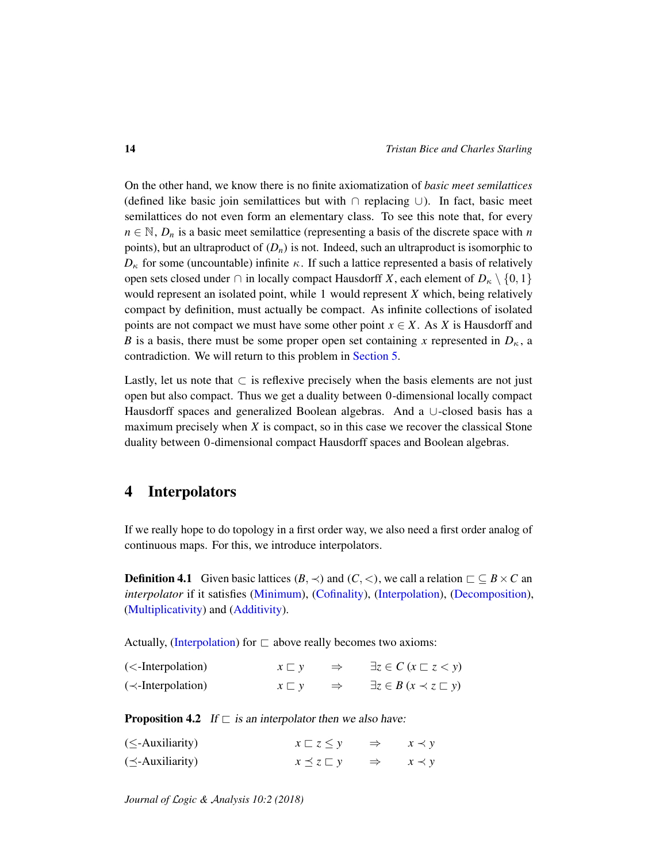On the other hand, we know there is no finite axiomatization of *basic meet semilattices* (defined like basic join semilattices but with ∩ replacing ∪). In fact, basic meet semilattices do not even form an elementary class. To see this note that, for every  $n \in \mathbb{N}$ ,  $D_n$  is a basic meet semilattice (representing a basis of the discrete space with *n* points), but an ultraproduct of  $(D_n)$  is not. Indeed, such an ultraproduct is isomorphic to  $D_{\kappa}$  for some (uncountable) infinite  $\kappa$ . If such a lattice represented a basis of relatively open sets closed under ∩ in locally compact Hausdorff *X*, each element of  $D_κ \setminus \{0, 1\}$ would represent an isolated point, while 1 would represent *X* which, being relatively compact by definition, must actually be compact. As infinite collections of isolated points are not compact we must have some other point  $x \in X$ . As *X* is Hausdorff and *B* is a basis, there must be some proper open set containing *x* represented in  $D<sub>K</sub>$ , a contradiction. We will return to this problem in [Section 5.](#page-15-0)

Lastly, let us note that  $\subset$  is reflexive precisely when the basis elements are not just open but also compact. Thus we get a duality between 0-dimensional locally compact Hausdorff spaces and generalized Boolean algebras. And a ∪-closed basis has a maximum precisely when *X* is compact, so in this case we recover the classical Stone duality between 0-dimensional compact Hausdorff spaces and Boolean algebras.

# <span id="page-13-0"></span>4 Interpolators

If we really hope to do topology in a first order way, we also need a first order analog of continuous maps. For this, we introduce interpolators.

**Definition 4.1** Given basic lattices  $(B, \prec)$  and  $(C, \prec)$ , we call a relation  $\sqsubset \subseteq B \times C$  and *interpolator* if it satisfies [\(Minimum\)](#page-3-6), [\(Cofinality\)](#page-3-10), [\(Interpolation\)](#page-3-9), [\(Decomposition\)](#page-3-3), [\(Multiplicativity\)](#page-5-8) and [\(Additivity\)](#page-5-9).

Actually, [\(Interpolation\)](#page-3-9) for  $\Box$  above really becomes two axioms:

<span id="page-13-3"></span><span id="page-13-2"></span>

| $\left(\langle\text{-Interpolation}\right)$ | $x \sqsubset y$ | $\exists z \in C \ (x \sqsubset z \lt y)$   |
|---------------------------------------------|-----------------|---------------------------------------------|
| $(\prec\text{-Interpolation})$              | $x \sqsubset y$ | $\exists z \in B \ (x \prec z \sqsubset y)$ |

**Proposition 4.2** If  $\Box$  is an interpolator then we also have:

<span id="page-13-1"></span>

| $(\leq$ -Auxiliarity)    | $x \sqsubset z \leq y$    |               | $\Rightarrow$ $x \prec y$ |
|--------------------------|---------------------------|---------------|---------------------------|
| $(\preceq$ -Auxiliarity) | $x \preceq z \sqsubset y$ | $\Rightarrow$ | $x \prec y$               |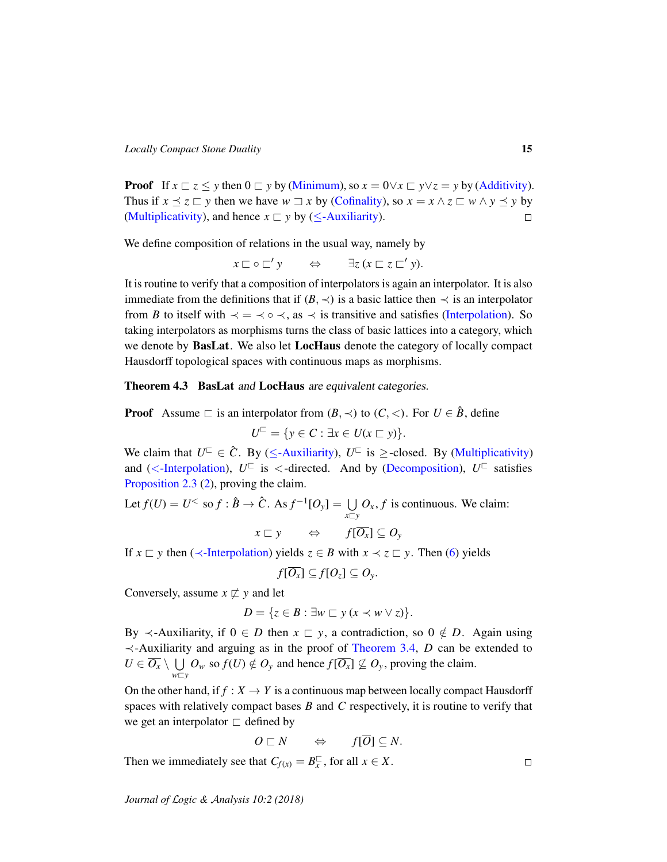**Proof** If  $x \rvert z \leq y$  then  $0 \rvert z \rvert y$  [\(Minimum\)](#page-3-6), so  $x = 0 \lor x \rvert z \rvert y \lor z = y$  by [\(Additivity\)](#page-5-9). Thus if  $x \le z \subseteq y$  then we have  $w \sqsupset x$  by [\(Cofinality\)](#page-3-10), so  $x = x \land z \sqsubseteq w \land y \preceq y$  by [\(Multiplicativity\)](#page-5-8), and hence  $x \sqsubset y$  by ( $\le$ [-Auxiliarity\)](#page-13-1).  $\Box$ 

We define composition of relations in the usual way, namely by

$$
x \sqsubset \circ \sqsubset' y \qquad \Leftrightarrow \qquad \exists z \, (x \sqsubset z \sqsubset' y).
$$

It is routine to verify that a composition of interpolators is again an interpolator. It is also immediate from the definitions that if  $(B, \prec)$  is a basic lattice then  $\prec$  is an interpolator from *B* to itself with  $\prec$  =  $\prec$   $\circ$   $\prec$ , as  $\prec$  is transitive and satisfies [\(Interpolation\)](#page-3-9). So taking interpolators as morphisms turns the class of basic lattices into a category, which we denote by **BasLat**. We also let **LocHaus** denote the category of locally compact Hausdorff topological spaces with continuous maps as morphisms.

<span id="page-14-0"></span>Theorem 4.3 BasLat and LocHaus are equivalent categories.

**Proof** Assume  $\sqsubset$  is an interpolator from  $(B, \prec)$  to  $(C, \prec)$ . For  $U \in \hat{B}$ , define  $U^{\Box} = \{ y \in C : \exists x \in U (x \sqsubset y) \}.$ 

We claim that  $U^{\square} \in \hat{C}$ . By ( $\leq$ [-Auxiliarity\)](#page-13-1),  $U^{\square}$  is  $\geq$ -closed. By [\(Multiplicativity\)](#page-5-8) and (<[-Interpolation\)](#page-13-2),  $U^{\square}$  is <-directed. And by [\(Decomposition\)](#page-3-3),  $U^{\square}$  satisfies [Proposition 2.3](#page-9-4) [\(2\)](#page-9-3), proving the claim.

Let  $f(U) = U^{\leq}$  so  $f : \hat{B} \to \hat{C}$ . As  $f^{-1}[O_y] = \bigcup$  $\bigcup_{x \sqsubset y} O_x$ , *f* is continuous. We claim:

 $x \sqsubset y \qquad \Leftrightarrow \qquad f[\overline{O_x}] \subseteq O_y$ 

If  $x \nightharpoonup y$  then ( $\prec$ [-Interpolation\)](#page-13-3) yields  $z \in B$  with  $x \prec z \nightharpoonup y$ . Then [\(6\)](#page-11-3) yields

$$
f[\overline{O_x}] \subseteq f[O_z] \subseteq O_y.
$$

Conversely, assume  $x \not\sqsubset y$  and let

$$
D = \{ z \in B : \exists w \sqsubset y \ (x \prec w \lor z) \}.
$$

By  $\prec$ -Auxiliarity, if  $0 \in D$  then  $x \sqsubset y$ , a contradiction, so  $0 \notin D$ . Again using ≺-Auxiliarity and arguing as in the proof of [Theorem 3.4,](#page-11-5) *D* can be extended to  $U \in \overline{O_{\rm{X}}} \setminus \ \bigcup$  $\bigcup_{w \sqsubset y} O_w$  so  $f(U) \notin O_y$  and hence  $f[\overline{O_x}] \nsubseteq O_y$ , proving the claim.

On the other hand, if  $f : X \to Y$  is a continuous map between locally compact Hausdorff spaces with relatively compact bases *B* and *C* respectively, it is routine to verify that we get an interpolator  $\sqsubset$  defined by

$$
O\sqsubset N\qquad\Leftrightarrow\qquad f[\overline{O}]\subseteq N.
$$

Then we immediately see that  $C_{f(x)} = B_x^{\square}$  $\frac{□}{x}$ , for all *x* ∈ *X*.

*Journal of* L*ogic &* A*nalysis 10:2 (2018)*

 $\Box$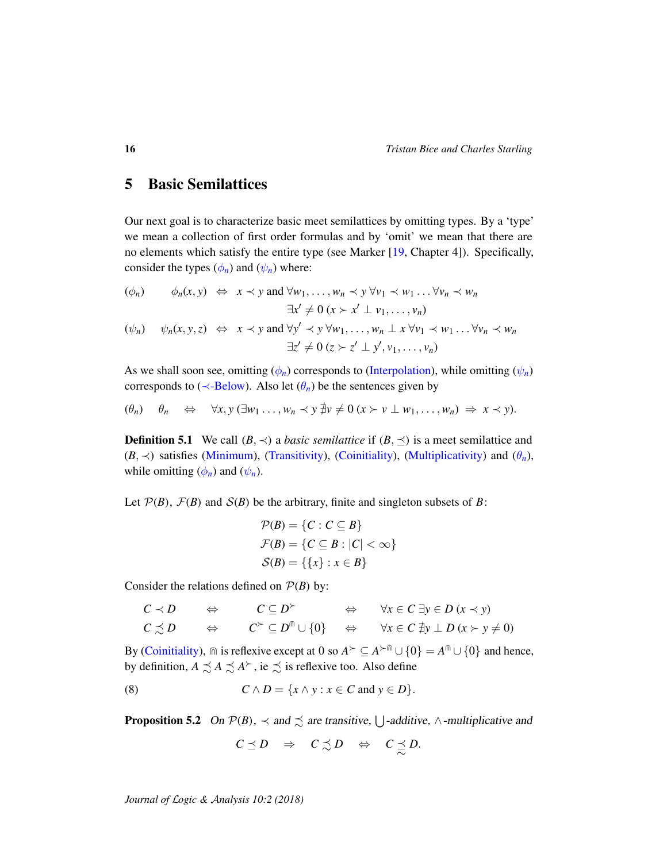## <span id="page-15-0"></span>5 Basic Semilattices

Our next goal is to characterize basic meet semilattices by omitting types. By a 'type' we mean a collection of first order formulas and by 'omit' we mean that there are no elements which satisfy the entire type (see Marker [\[19,](#page-34-11) Chapter 4]). Specifically, consider the types  $(\phi_n)$  and  $(\psi_n)$  where:

<span id="page-15-2"></span><span id="page-15-1"></span>
$$
(\phi_n) \qquad \phi_n(x, y) \iff x \prec y \text{ and } \forall w_1, \dots, w_n \prec y \forall v_1 \prec w_1 \dots \forall v_n \prec w_n
$$
  

$$
\exists x' \neq 0 \ (x > x' \perp v_1, \dots, v_n)
$$
  

$$
(\psi_n) \qquad \psi_n(x, y, z) \iff x \prec y \text{ and } \forall y' \prec y \forall w_1, \dots, w_n \perp x \forall v_1 \prec w_1 \dots \forall v_n \prec w_n
$$
  

$$
\exists z' \neq 0 \ (z > z' \perp y', v_1, \dots, v_n)
$$

As we shall soon see, omitting  $(\phi_n)$  corresponds to [\(Interpolation\)](#page-3-9), while omitting  $(\psi_n)$ corresponds to ( $\prec$ [-Below\)](#page-7-3). Also let  $(\theta_n)$  be the sentences given by

<span id="page-15-3"></span>
$$
(\theta_n) \quad \theta_n \quad \Leftrightarrow \quad \forall x, y \ (\exists w_1 \ldots, w_n \prec y \ \nexists v \neq 0 \ (x \succ v \perp w_1, \ldots, w_n) \ \Rightarrow \ x \prec y).
$$

**Definition 5.1** We call  $(B, \prec)$  a *basic semilattice* if  $(B, \preceq)$  is a meet semilattice and  $(B, \prec)$  satisfies [\(Minimum\)](#page-3-6), [\(Transitivity\)](#page-3-11), [\(Coinitiality\)](#page-5-1), [\(Multiplicativity\)](#page-5-8) and  $(\theta_n)$ , while omitting  $(\phi_n)$  and  $(\psi_n)$ .

Let  $P(B)$ ,  $F(B)$  and  $S(B)$  be the arbitrary, finite and singleton subsets of *B*:

$$
\mathcal{P}(B) = \{C : C \subseteq B\}
$$

$$
\mathcal{F}(B) = \{C \subseteq B : |C| < \infty\}
$$

$$
\mathcal{S}(B) = \{\{x\} : x \in B\}
$$

Consider the relations defined on  $P(B)$  by:

$$
C \prec D \qquad \Leftrightarrow \qquad C \subseteq D^{\succ} \qquad \Leftrightarrow \qquad \forall x \in C \exists y \in D \ (x \prec y)
$$
  

$$
C \precsim D \qquad \Leftrightarrow \qquad C^{\succ} \subseteq D^{\text{in}} \cup \{0\} \qquad \Leftrightarrow \qquad \forall x \in C \ \nexists y \perp D \ (x \succ y \neq 0)
$$

By [\(Coinitiality\)](#page-5-1),  $\cap$  is reflexive except at 0 so  $A^{\succ} \subseteq A^{\succ \cap} \cup \{0\} = A^{\cap} \cup \{0\}$  and hence, by definition,  $A \precsim A \precsim A^{\succ}$ , ie  $\precsim$  is reflexive too. Also define

(8) 
$$
C \wedge D = \{x \wedge y : x \in C \text{ and } y \in D\}.
$$

<span id="page-15-5"></span>**Proposition 5.2** On  $\mathcal{P}(B)$ ,  $\prec$  and  $\precsim$  are transitive,  $\bigcup$ -additive,  $\wedge$ -multiplicative and

<span id="page-15-4"></span>
$$
C\preceq D\quad\Rightarrow\quad C\precsim D\quad\Leftrightarrow\quad C\preceq D.
$$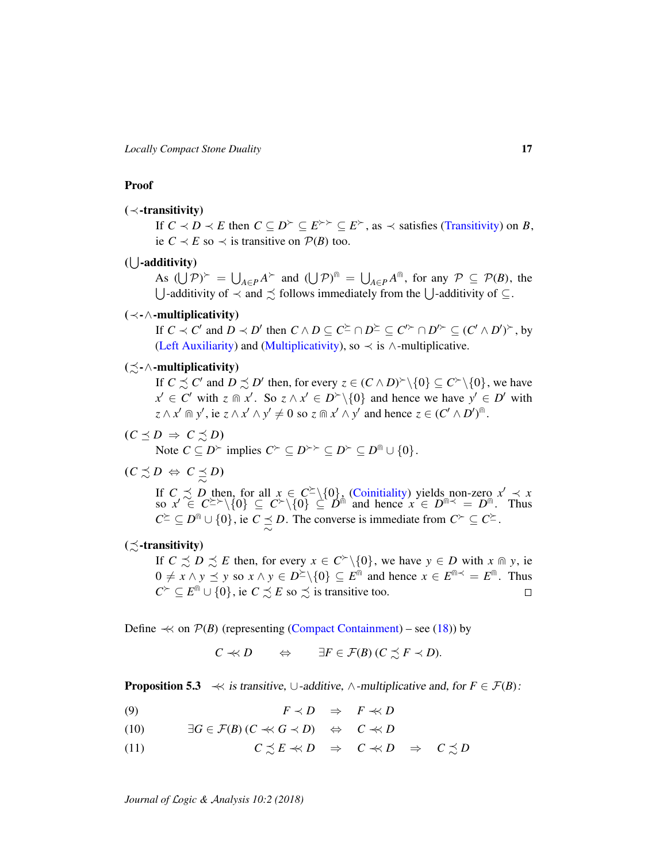*Locally Compact Stone Duality* 17

### Proof

### (≺-transitivity)

If  $C \prec D \prec E$  then  $C \subseteq D^{\succ} \subseteq E^{\succ} \succ \subseteq E^{\succ}$ , as  $\prec$  satisfies [\(Transitivity\)](#page-3-11) on *B*, ie  $C \prec E$  so  $\prec$  is transitive on  $P(B)$  too.

### (*U*-additivity)

As  $(\bigcup \mathcal{P})^{\succ} = \bigcup_{A \in \mathcal{P}} A^{\succ}$  and  $(\bigcup \mathcal{P})^{\text{in}} = \bigcup_{A \in \mathcal{P}} A^{\text{in}}$ , for any  $\mathcal{P} \subseteq \mathcal{P}(B)$ , the U-additivity of  $\prec$  and  $\precsim$  follows immediately from the U-additivity of ⊆.

### (≺-∧-multiplicativity)

If  $C \prec C'$  and  $D \prec D'$  then  $C \wedge D \subseteq C^{\succeq} \cap D^{\succeq} \subseteq C'^{\succ} \cap D'^{\succ} \subseteq (C' \wedge D')^{\succ}$ , by [\(Left Auxiliarity\)](#page-3-8) and [\(Multiplicativity\)](#page-5-8), so  $\prec$  is  $\land$ -multiplicative.

### $(\preceq -\wedge$ -multiplicativity)

If  $C \precsim C'$  and  $D \precsim D'$  then, for every  $z \in (C \wedge D)^{\succ} \setminus \{0\} \subseteq C^{\succ} \setminus \{0\}$ , we have  $x' \in C'$  with  $z \in \mathbb{R}^2$ . So  $z \wedge x' \in D^{\geq} \setminus \{0\}$  and hence we have  $y' \in D'$  with  $z \wedge x' \text{ for } y', \text{ ie } z \wedge x' \wedge y' \neq 0 \text{ so } z \text{ for } x' \wedge y' \text{ and hence } z \in (C' \wedge D')^{\text{fin}}.$ 

- $(C \preceq D \Rightarrow C \preceq D)$ Note  $C \subseteq D^{\succ}$  implies  $C^{\succ} \subseteq D^{\succ \succ} \subseteq D^{\succ} \subseteq D^{\cap} \cup \{0\}.$
- $(C \precsim D \Leftrightarrow C \preceq D)$

If  $C \precsim D$  then, for all  $x \in C^{\succeq} \setminus \{0\}$ , [\(Coinitiality\)](#page-5-1) yields non-zero  $x' \prec x$ so  $x' \in C^{\geq} \setminus \{0\} \subseteq C^{\geq} \setminus \{0\} \subseteq D^{\text{th}}$  and hence  $x \in D^{\text{th}} \leq D^{\text{th}}$ . Thus  $C^{\succeq} \subseteq D^{\text{fin}} \cup \{0\}$ , ie  $C \preceq D$ . The converse is immediate from  $C^{\succ} \subseteq C^{\succeq}$ .

### $(\preceq$ -transitivity)

If  $C \precsim D \precsim E$  then, for every  $x \in C^{\succ} \setminus \{0\}$ , we have  $y \in D$  with  $x \cap y$ , ie  $0 \neq x \wedge y \leq y$  so  $x \wedge y \in D^{\succeq} \backslash \{0\} \subseteq E^{\widehat{\mathbb{m}}}$  and hence  $x \in E^{\widehat{\mathbb{m}}} \leq E^{\widehat{\mathbb{m}}}$ . Thus  $C^{\succ} \subseteq E^{\cap} \cup \{0\}$ , ie  $C \precsim E$  so  $\precsim$  is transitive too.  $\Box$ 

Define  $\prec$  on  $P(B)$  (representing [\(Compact Containment\)](#page-4-0) – see [\(18\)](#page-21-0)) by

$$
C \ll D \qquad \Leftrightarrow \qquad \exists F \in \mathcal{F}(B) \ (C \precsim F \prec D).
$$

<span id="page-16-3"></span>**Proposition 5.3**  $\prec\!\prec$  is transitive, ∪-additive, ∧-multiplicative and, for  $F \in \mathcal{F}(B)$ :

<span id="page-16-0"></span>(9)  $F \prec D \Rightarrow F \prec D$ 

<span id="page-16-1"></span>(10)  $\exists G \in \mathcal{F}(B) (C \prec G \prec D) \Leftrightarrow C \prec B$ 

<span id="page-16-2"></span>(11)  $C \precsim E \prec D \Rightarrow C \prec D \Rightarrow C \precsim D$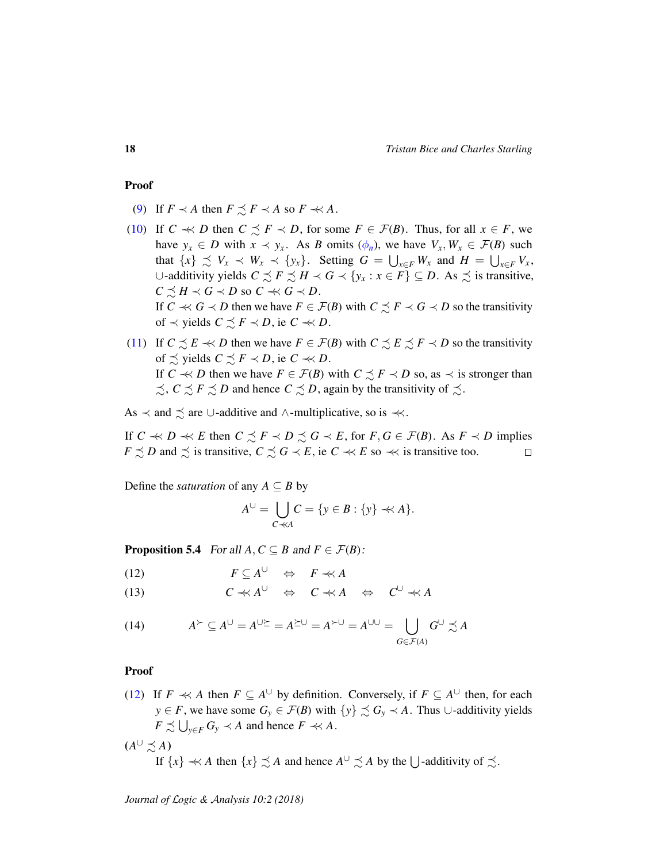#### Proof

- [\(9\)](#page-16-0) If  $F \prec A$  then  $F \preceq F \prec A$  so  $F \prec A$ .
- [\(10\)](#page-16-1) If  $C \ll D$  then  $C \precsim F \prec D$ , for some  $F \in \mathcal{F}(B)$ . Thus, for all  $x \in F$ , we have  $y_x \in D$  with  $x \prec y_x$ . As *B* omits  $(\phi_n)$ , we have  $V_x, W_x \in \mathcal{F}(B)$  such that  $\{x\} \precsim V_x \prec W_x \prec \{y_x\}$ . Setting  $G = \bigcup_{x \in F} W_x$  and  $H = \bigcup_{x \in F} V_x$ , ∪-additivity yields  $C \precsim F \precsim H \prec G \prec \{y_x : x \in F\} \subseteq D$ . As  $\precsim$  is transitive,  $C \precsim H \prec G \prec D$  so  $C \prec G \prec D$ . If  $C \ll G \prec D$  then we have  $F \in \mathcal{F}(B)$  with  $C \precsim F \prec G \prec D$  so the transitivity of  $\prec$  yields  $C \precsim F \prec D$ , ie  $C \prec\!\prec D$ .
- [\(11\)](#page-16-2) If  $C \precsim E \prec D$  then we have  $F \in \mathcal{F}(B)$  with  $C \precsim E \precsim F \prec D$  so the transitivity of  $\precsim$  yields  $C \precsim F \prec D$ , ie  $C \prec\!\prec D$ . If  $C \ll D$  then we have  $F \in \mathcal{F}(B)$  with  $C \precsim F \prec D$  so, as  $\prec$  is stronger than  $\precsim$ ,  $C \precsim F \precsim D$  and hence  $C \precsim D$ , again by the transitivity of  $\precsim$ .

As  $\prec$  and  $\precsim$  are ∪-additive and ∧-multiplicative, so is  $\prec$ .

If *C*  $\prec$  *E* then *C*  $\precsim$  *F*  $\prec$  *D*  $\precsim$  *G*  $\prec$  *E*, for *F*, *G*  $\in$  *F*(*B*). As *F*  $\prec$  *D* implies *F*  $\leq$  *D* and  $\leq$  is transitive, *C*  $\leq$  *G*  $\prec$  *E*, ie *C*  $\prec$  *E* so  $\prec$  *is transitive too.*  $\Box$ 

Define the *saturation* of any  $A \subseteq B$  by

$$
A^{\cup} = \bigcup_{C \prec A} C = \{ y \in B : \{ y \} \prec A \}.
$$

<span id="page-17-2"></span>**Proposition 5.4** For all  $A, C \subseteq B$  and  $F \in \mathcal{F}(B)$ :

<span id="page-17-0"></span>
$$
(12) \t\t\t F \subseteq A^{\cup} \Leftrightarrow F \prec A
$$

<span id="page-17-1"></span> $C \nleftrightarrow A^{\cup} \Leftrightarrow C \nleftrightarrow A \Leftrightarrow C^{\cup} \nleftrightarrow A$ 

(14) 
$$
A^{\succ} \subseteq A^{\cup} = A^{\cup \succeq} = A^{\succeq \cup} = A^{\succ \cup} = A^{\cup \cup} = \bigcup_{G \in \mathcal{F}(A)} G^{\cup} \preceq A
$$

### Proof

- [\(12\)](#page-17-0) If *F*  $\prec$  *A* then *F* ⊆ *A*<sup>∪</sup> by definition. Conversely, if *F* ⊆ *A*<sup>∪</sup> then, for each *y* ∈ *F*, we have some  $G_y$  ∈  $\mathcal{F}(B)$  with  $\{y\}$   $\precsim G_y$   $\prec A$ . Thus ∪-additivity yields  $F \precsim \bigcup_{y \in F} G_y \prec A$  and hence  $F \prec A$ .  $(A^{\cup} \precsim A)$ 
	- If  $\{x\} \nless A$  then  $\{x\} \precsim A$  and hence  $A^{\cup} \precsim A$  by the  $\bigcup$ -additivity of  $\precsim$ .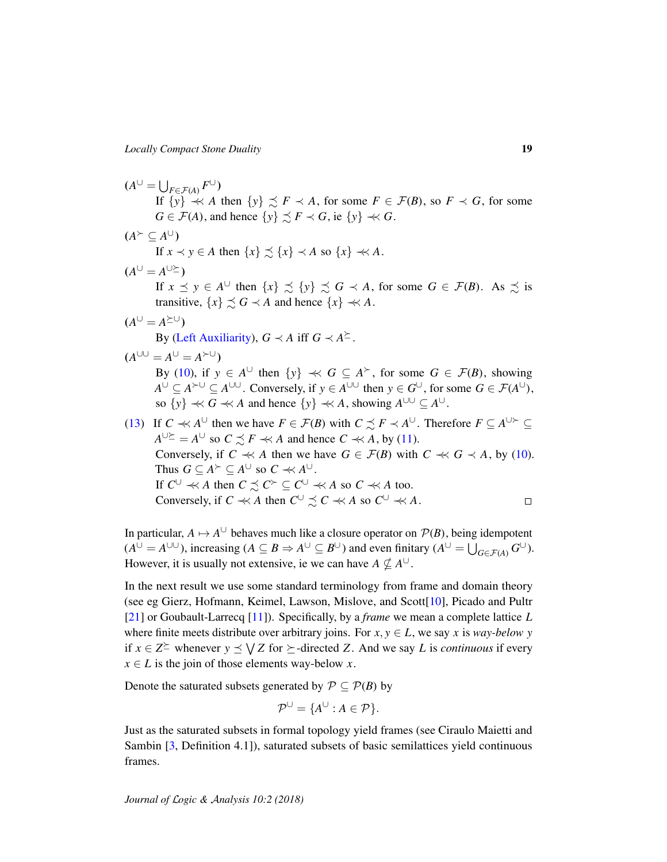$$
(AU = \bigcup_{F \in \mathcal{F}(A)} FU)
$$
  
\nIf {*y*} ≺ *A* then {*y*} ≼ *F* ≺ *A*, for some *F* ∈ *F(B)*, so *F* ≺ *G*, for some  
\n $G \in \mathcal{F}(A)$ , and hence {*y*} ≼ *F* ≺ *G*, ie {*y*} ≪ *G*.  
\n( $A^{\vee} \subseteq A^{\cup}$ )  
\nIf  $x \prec y \in A$  then {*x*} ≼ {*x*} ≺ *A* so {*x*} ≪ *A*.  
\n( $A^{\cup} = A^{\cup \succeq}$ )  
\nIf  $x \preceq y \in A^{\cup}$  then {*x*} ≼ {*y*} ≼ *G* ≺ *A*, for some *G* ∈ *F(B)*. As ≼ is  
\ntransitive, {*x*} ≼ *S* ∈ *A* and hence {*x*} ≪ *A*.  
\n( $A^{\cup} = A^{\succeq U}$ )  
\nBy (Left Auxiliary), *G* ≺ *A* iff *G* ≺ *A*≥.  
\n( $A^{\cup \cup} = A^{\cup} = A^{\succ \cup}$ )  
\nBy (10), if  $y \in A^{\cup}$  then {*y*} ≪ *G* ⊆ *A*<sup>×</sup>, for some *G* ∈ *F(B)*, showing  
\n $A^{\cup} \subseteq A^{\succ \cup} \subseteq A^{\cup \cup}$ . Conversely, if  $y \in A^{\cup \cup}$  then  $y \in G^{\cup}$ , for some *G* ∈ *F(A^{\cup})*,  
\nso {*y*} ≪ *G* ≪ *A* and hence {*y*} ≪ *A*, showing *A*<sup>\cup \cup</sup> ⊆ *A*<sup>\cup</sup>.  
\n(13) If *C* ≪ *A*<sup>\cup</sup> then we have *F* ∈ *F(B)* with *C*

In particular,  $A \mapsto A^{\cup}$  behaves much like a closure operator on  $\mathcal{P}(B)$ , being idempotent  $(A^{\cup} = A^{\cup \cup}$ ), increasing  $(A \subseteq B \Rightarrow A^{\cup} \subseteq B^{\cup}$ ) and even finitary  $(A^{\cup} = \bigcup_{G \in \mathcal{F}(A)} G^{\cup}$ ). However, it is usually not extensive, ie we can have  $A \nsubseteq A^{\cup}$ .

In the next result we use some standard terminology from frame and domain theory (see eg Gierz, Hofmann, Keimel, Lawson, Mislove, and Scott[\[10\]](#page-34-1), Picado and Pultr [\[21\]](#page-35-3) or Goubault-Larrecq [\[11\]](#page-34-12)). Specifically, by a *frame* we mean a complete lattice *L* where finite meets distribute over arbitrary joins. For  $x, y \in L$ , we say *x* is *way-below y* if *x* ∈ *Z*<sup> $≥$ </sup> whenever *y*  $\leq$   $\sqrt{Z}$  for  $\succeq$ -directed *Z*. And we say *L* is *continuous* if every  $x \in L$  is the join of those elements way-below *x*.

Denote the saturated subsets generated by  $P \subseteq P(B)$  by

$$
\mathcal{P}^{\cup} = \{ A^{\cup} : A \in \mathcal{P} \}.
$$

Just as the saturated subsets in formal topology yield frames (see Ciraulo Maietti and Sambin [\[3,](#page-33-1) Definition 4.1]), saturated subsets of basic semilattices yield continuous frames.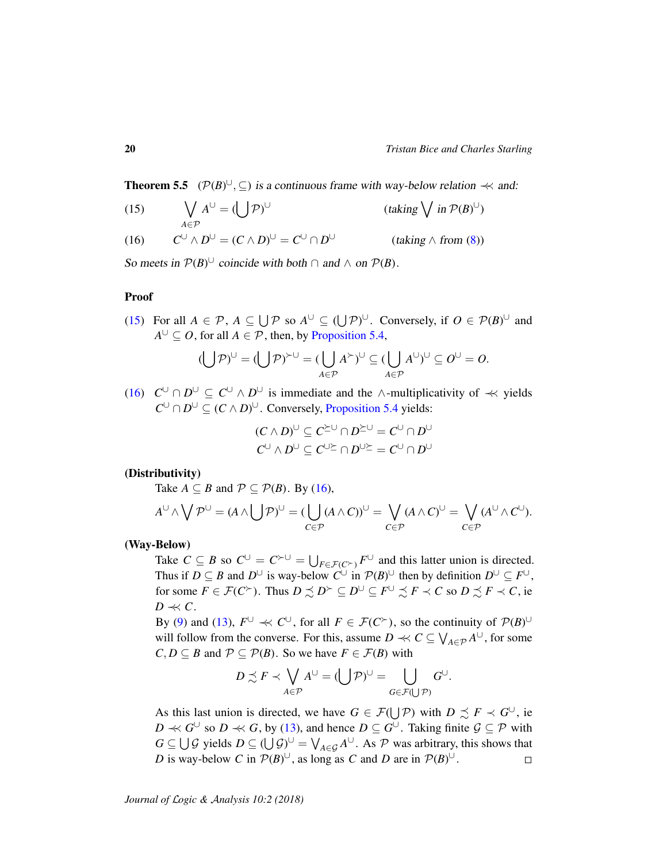<span id="page-19-2"></span>**Theorem 5.5** ( $\mathcal{P}(B)^{\cup}$ ,  $\subseteq$ ) is a continuous frame with way-below relation  $\prec\prec$  and:

<span id="page-19-0"></span>(15) 
$$
\bigvee_{A \in \mathcal{P}} A^{\cup} = (\bigcup \mathcal{P})^{\cup} \qquad \text{(taking } \bigvee \text{ in } \mathcal{P}(B)^{\cup})
$$

<span id="page-19-1"></span>(16) 
$$
C^{\cup} \wedge D^{\cup} = (C \wedge D)^{\cup} = C^{\cup} \cap D^{\cup} \qquad (taking \wedge from (8))
$$

So meets in  $\mathcal{P}(B)^{\cup}$  coincide with both  $\cap$  and  $\wedge$  on  $\mathcal{P}(B)$ .

#### Proof

[\(15\)](#page-19-0) For all  $A \in \mathcal{P}$ ,  $A \subseteq \bigcup \mathcal{P}$  so  $A^{\cup} \subseteq (\bigcup \mathcal{P})^{\cup}$ . Conversely, if  $O \in \mathcal{P}(B)^{\cup}$  and  $A^{\cup} \subseteq O$ , for all  $A \in \mathcal{P}$ , then, by [Proposition 5.4,](#page-17-2)

$$
(\bigcup \mathcal{P})^{\cup} = (\bigcup \mathcal{P})^{\succ \cup} = (\bigcup_{A \in \mathcal{P}} A^{\succ})^{\cup} \subseteq (\bigcup_{A \in \mathcal{P}} A^{\cup})^{\cup} \subseteq O^{\cup} = O.
$$

[\(16\)](#page-19-1)  $C^{\cup} \cap D^{\cup} \subseteq C^{\cup} \wedge D^{\cup}$  is immediate and the ∧-multiplicativity of  $\prec\!\prec$  yields  $C^{\cup} \cap D^{\cup} \subseteq (C \land D)^{\cup}$ . Conversely, [Proposition 5.4](#page-17-2) yields:

$$
(C \wedge D)^{\cup} \subseteq C^{\succeq \cup} \cap D^{\succeq \cup} = C^{\cup} \cap D^{\cup}
$$
  

$$
C^{\cup} \wedge D^{\cup} \subseteq C^{\cup \succeq} \cap D^{\cup \succeq} = C^{\cup} \cap D^{\cup}
$$

### (Distributivity)

Take  $A \subseteq B$  and  $P \subseteq \mathcal{P}(B)$ . By [\(16\)](#page-19-1),

$$
A^{\cup} \wedge \bigvee \mathcal{P}^{\cup} = (A \wedge \bigcup \mathcal{P})^{\cup} = (\bigcup_{C \in \mathcal{P}} (A \wedge C))^{\cup} = \bigvee_{C \in \mathcal{P}} (A \wedge C)^{\cup} = \bigvee_{C \in \mathcal{P}} (A^{\cup} \wedge C^{\cup}).
$$

### (Way-Below)

Take  $C \subseteq B$  so  $C^{\cup} = C^{\succ \cup} = \bigcup_{F \in \mathcal{F}(C^{\succ})} F^{\cup}$  and this latter union is directed. Thus if  $D \subseteq B$  and  $D^{\cup}$  is way-below  $C^{\cup}$  in  $\mathcal{P}(B)^{\cup}$  then by definition  $D^{\cup} \subseteq F^{\cup}$ , for some  $F \in \mathcal{F}(C^{\succ})$ . Thus  $D \precsim D^{\succ} \subseteq D^{\cup} \subseteq F^{\cup} \precsim F \prec C$  so  $D \precsim F \prec C$ , ie  $D \ll C$ .

By [\(9\)](#page-16-0) and [\(13\)](#page-17-1),  $F^{\cup} \ll C^{\cup}$ , for all  $F \in \mathcal{F}(C^{\succ})$ , so the continuity of  $\mathcal{P}(B)^{\cup}$ will follow from the converse. For this, assume  $D \ll C \subseteq \bigvee_{A \in \mathcal{P}} A^{\cup}$ , for some  $C, D \subseteq B$  and  $P \subseteq P(B)$ . So we have  $F \in \mathcal{F}(B)$  with

$$
D \precsim F \prec \bigvee_{A \in \mathcal{P}} A^{\cup} = (\bigcup \mathcal{P})^{\cup} = \bigcup_{G \in \mathcal{F}(\bigcup \mathcal{P})} G^{\cup}.
$$

As this last union is directed, we have  $G \in \mathcal{F}(\bigcup \mathcal{P})$  with  $D \precsim F \prec G^{\cup}$ , ie *D*  $\prec$  *G*<sup>∪</sup> so *D*  $\prec$  *G*, by [\(13\)](#page-17-1), and hence *D* ⊆ *G*<sup>∪</sup>. Taking finite *G* ⊆ *P* with  $G \subseteq \bigcup \mathcal{G}$  yields  $D \subseteq (\bigcup \mathcal{G})^{\cup} = \bigvee_{A \in \mathcal{G}} A^{\cup}$ . As  $\mathcal{P}$  was arbitrary, this shows that *D* is way-below *C* in  $P(B)^{\cup}$ , as long as *C* and *D* are in  $P(B)^{\cup}$ .  $\Box$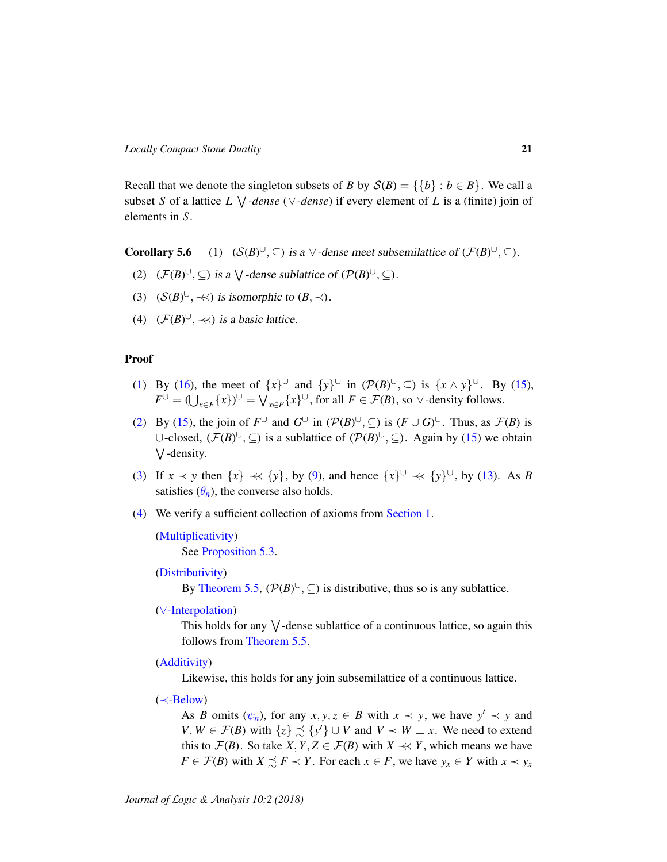Recall that we denote the singleton subsets of *B* by  $S(B) = \{\{b\} : b \in B\}$ . We call a subset *S* of a lattice *L* W *-dense* (∨*-dense*) if every element of *L* is a (finite) join of elements in *S*.

<span id="page-20-0"></span>Corollary 5.6  $\cup$ , ⊆) is a  $\vee$ -dense meet subsemilattice of  $(\mathcal{F}(B)^{\cup}, \subseteq)$ .

- <span id="page-20-1"></span>(2)  $(\mathcal{F}(B)^{\cup}, \subseteq)$  is a  $\bigvee$ -dense sublattice of  $(\mathcal{P}(B)^{\cup}, \subseteq)$ .
- <span id="page-20-2"></span>(3)  $(S(B)^{\cup}, \ll)$  is isomorphic to  $(B, \prec)$ .
- <span id="page-20-3"></span>(4)  $(\mathcal{F}(B)^{\cup}, \ll)$  is a basic lattice.

#### Proof

- [\(1\)](#page-20-0) By [\(16\)](#page-19-1), the meet of  $\{x\}^{\cup}$  and  $\{y\}^{\cup}$  in  $(\mathcal{P}(B)^{\cup}, \subseteq)$  is  $\{x \wedge y\}^{\cup}$ . By [\(15\)](#page-19-0),  $F^{\cup} = (\bigcup_{x \in F} \{x\})^{\cup} = \bigvee_{x \in F} \{x\}^{\cup}$ , for all  $F \in \mathcal{F}(B)$ , so  $\vee$ -density follows.
- [\(2\)](#page-20-1) By [\(15\)](#page-19-0), the join of  $F^{\cup}$  and  $G^{\cup}$  in  $(\mathcal{P}(B)^{\cup}, \subseteq)$  is  $(F \cup G)^{\cup}$ . Thus, as  $\mathcal{F}(B)$  is ∪-closed,  $(\mathcal{F}(B)^{\cup}, \subseteq)$  is a sublattice of  $(\mathcal{P}(B)^{\cup}, \subseteq)$ . Again by [\(15\)](#page-19-0) we obtain W -density.
- [\(3\)](#page-20-2) If  $x \prec y$  then  $\{x\} \prec \{y\}$ , by [\(9\)](#page-16-0), and hence  $\{x\}^{\cup} \prec \{y\}^{\cup}$ , by [\(13\)](#page-17-1). As *B* satisfies  $(\theta_n)$ , the converse also holds.
- [\(4\)](#page-20-3) We verify a sufficient collection of axioms from [Section 1.](#page-3-1)

```
(Multiplicativity)
See Proposition 5.3.
```
[\(Distributivity\)](#page-5-5)

By [Theorem 5.5,](#page-19-2)  $(\mathcal{P}(B)^{\cup}, \subseteq)$  is distributive, thus so is any sublattice.

(∨[-Interpolation\)](#page-7-2)

This holds for any  $\vee$ -dense sublattice of a continuous lattice, so again this follows from [Theorem 5.5.](#page-19-2)

[\(Additivity\)](#page-5-9)

Likewise, this holds for any join subsemilattice of a continuous lattice.

(≺[-Below\)](#page-7-3)

As *B* omits  $(\psi_n)$ , for any  $x, y, z \in B$  with  $x \prec y$ , we have  $y' \prec y$  and *V*, *W* ∈  $\mathcal{F}(B)$  with {*z*}  $\leq$  {*y'*} ∪ *V* and *V*  $\prec$  *W* ⊥ *x*. We need to extend this to  $\mathcal{F}(B)$ . So take *X*, *Y*, *Z*  $\in \mathcal{F}(B)$  with *X*  $\prec\prec$  *Y*, which means we have *F* ∈ *F*(*B*) with *X*  $\leq$  *F*  $\prec$  *Y*. For each *x* ∈ *F*, we have *y<sub>x</sub>* ∈ *Y* with *x*  $\prec$  *y<sub>x</sub>*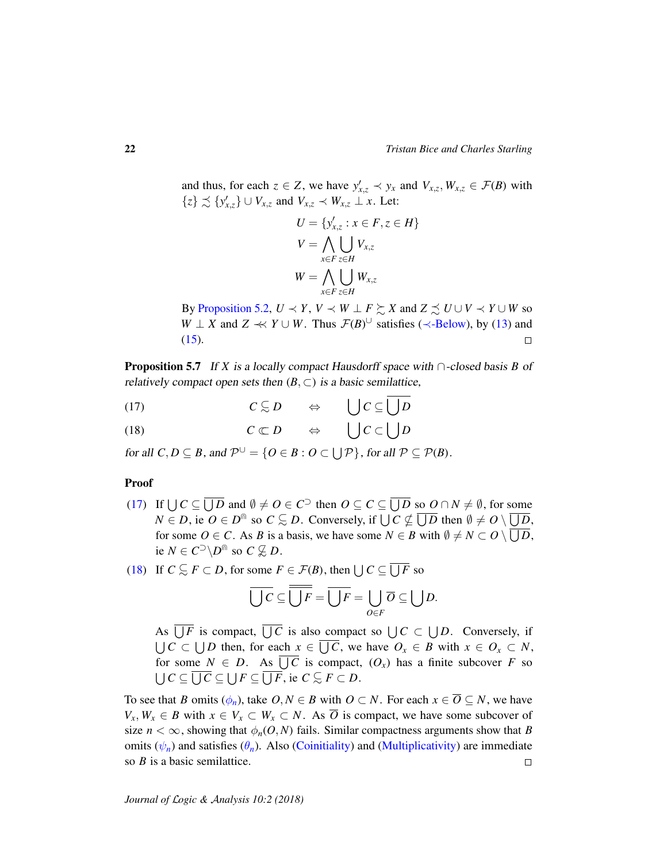and thus, for each  $z \in Z$ , we have  $y'_{x,z} \prec y_x$  and  $V_{x,z}$ ,  $W_{x,z} \in \mathcal{F}(B)$  with  $\{z\} \precsim \{y'_{x,z}\} \cup V_{x,z}$  and  $V_{x,z} \prec W_{x,z} \perp x$ . Let:

$$
U = \{y'_{x,z} : x \in F, z \in H\}
$$
  

$$
V = \bigwedge_{x \in F} \bigcup_{z \in H} V_{x,z}
$$
  

$$
W = \bigwedge_{x \in F} \bigcup_{z \in H} W_{x,z}
$$

By [Proposition 5.2,](#page-15-5)  $U \prec Y$ ,  $V \prec W \perp F \succsim X$  and  $Z \precsim U \cup V \prec Y \cup W$  so *W* ⊥ *X* and *Z*  $\prec$  *Y* ∪ *W*. Thus *F*(*B*)<sup>∪</sup> satisfies ( $\prec$ [-Below\)](#page-7-3), by [\(13\)](#page-17-1) and [\(15\)](#page-19-0).  $\Box$ 

<span id="page-21-2"></span>Proposition 5.7 If *X* is a locally compact Hausdorff space with ∩-closed basis *B* of relatively compact open sets then  $(B, \subset)$  is a basic semilattice,

<span id="page-21-1"></span><span id="page-21-0"></span>(17) 
$$
C \subseteq D \Leftrightarrow \bigcup C \subseteq \bigcup D
$$
  
(18)  $C \subset D \Leftrightarrow \bigcup C \subset \bigcup D$ 

for all  $C, D \subseteq B$ , and  $\mathcal{P}^{\cup} = \{O \in B : O \subset \bigcup \mathcal{P}\}$ , for all  $\mathcal{P} \subseteq \mathcal{P}(B)$ .

### Proof

- [\(17\)](#page-21-1) If  $\bigcup C \subseteq \overline{\bigcup D}$  and  $\emptyset \neq O \in C^{\supset}$  then  $O \subseteq C \subseteq \overline{\bigcup D}$  so  $O \cap N \neq \emptyset$ , for some  $N \in D$ , ie  $O \in D^{\mathbb{m}}$  so  $C \subsetneq D$ . Conversely, if  $\bigcup C \nsubseteq \overline{\bigcup D}$  then  $\emptyset \neq O \setminus \overline{\bigcup D}$ , for some  $O \in C$ . As *B* is a basis, we have some  $N \in B$  with  $\emptyset \neq N \subset O \setminus \bigcup D$ , ie  $N \in C^{\supset} \backslash D^{\text{fin}}$  so  $C \nsubseteq D$ .
- [\(18\)](#page-21-0) If  $C \subseteq F \subset D$ , for some  $F \in \mathcal{F}(B)$ , then  $\bigcup C \subseteq \overline{\bigcup F}$  so

$$
\overline{\bigcup C} \subseteq \overline{\bigcup F} = \overline{\bigcup F} = \bigcup_{O \in F} \overline{O} \subseteq \bigcup D.
$$

As  $\bigcup F$  is compact,  $\bigcup C$  is also compact so  $\bigcup C \subset \bigcup D$ . Conversely, if  $\bigcup$  *C* ⊂  $\bigcup$ *D* then, for each  $x \in \bigcup$  *C*, we have  $O_x \in B$  with  $x \in O_x \subset N$ , for some  $N \in D$ . As  $\bigcup C$  is compact,  $(O_x)$  has a finite subcover F so  $\bigcup C \subseteq \overline{\bigcup C} \subseteq \bigcup F \subseteq \overline{\bigcup F}$ , ie *C*  $\subseteq F \subset D$ .

To see that *B* omits  $(\phi_n)$ , take  $O, N \in B$  with  $O \subset N$ . For each  $x \in \overline{O} \subseteq N$ , we have *V*<sub>*x*</sub>, *W*<sub>*x*</sub> ∈ *B* with  $x \in V_x \subset W_x \subset N$ . As  $\overline{O}$  is compact, we have some subcover of size  $n < \infty$ , showing that  $\phi_n(O, N)$  fails. Similar compactness arguments show that *B* omits  $(\psi_n)$  and satisfies  $(\theta_n)$ . Also [\(Coinitiality\)](#page-5-1) and [\(Multiplicativity\)](#page-5-8) are immediate so *B* is a basic semilattice.  $\Box$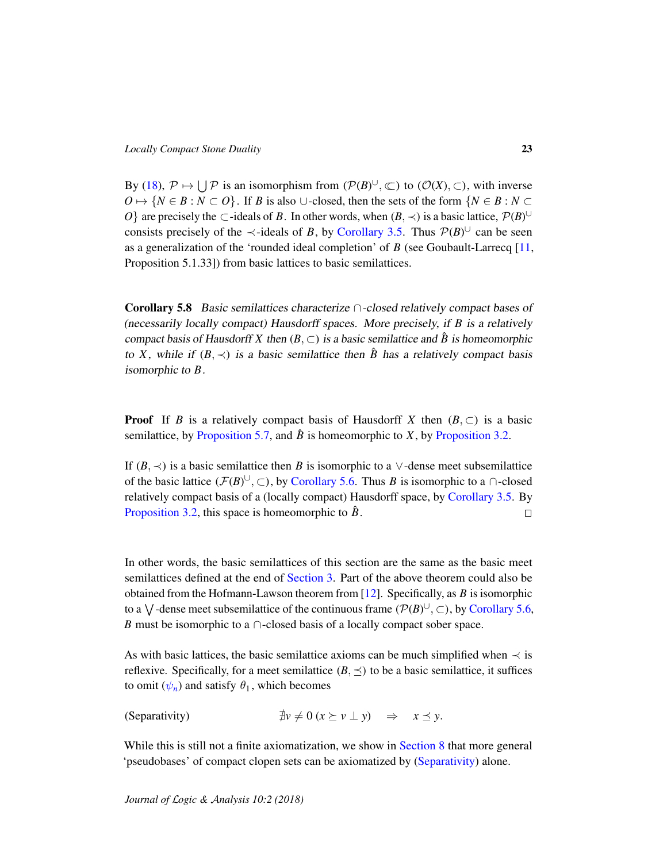By [\(18\)](#page-21-0),  $\mathcal{P} \mapsto \bigcup \mathcal{P}$  is an isomorphism from  $(\mathcal{P}(B)^{\cup}, \subseteq)$  to  $(\mathcal{O}(X), \subseteq)$ , with inverse  $O \mapsto \{N \in B : N \subset O\}$ . If *B* is also ∪-closed, then the sets of the form  $\{N \in B : N \subset$ *O*} are precisely the ⊂-ideals of *B*. In other words, when  $(B, \prec)$  is a basic lattice,  $\mathcal{P}(B)$ <sup>U</sup> consists precisely of the  $\prec$ -ideals of *B*, by [Corollary 3.5.](#page-12-0) Thus  $\mathcal{P}(B)^{\cup}$  can be seen as a generalization of the 'rounded ideal completion' of *B* (see Goubault-Larrecq [\[11,](#page-34-12) Proposition 5.1.33]) from basic lattices to basic semilattices.

<span id="page-22-0"></span>**Corollary 5.8** Basic semilattices characterize  $\cap$ -closed relatively compact bases of (necessarily locally compact) Hausdorff spaces. More precisely, if *B* is a relatively compact basis of Hausdorff *X* then  $(B, \subset)$  is a basic semilattice and  $\hat{B}$  is homeomorphic to *X*, while if  $(B, \prec)$  is a basic semilattice then  $\hat{B}$  has a relatively compact basis isomorphic to *B*.

**Proof** If *B* is a relatively compact basis of Hausdorff *X* then  $(B, \subset)$  is a basic semilattice, by [Proposition 5.7,](#page-21-2) and  $\hat{B}$  is homeomorphic to *X*, by [Proposition 3.2.](#page-10-0)

If  $(B, \prec)$  is a basic semilattice then *B* is isomorphic to a ∨-dense meet subsemilattice of the basic lattice  $(\mathcal{F}(B)^{\cup}, \subset)$ , by [Corollary 5.6.](#page-0-1) Thus *B* is isomorphic to a  $\cap$ -closed relatively compact basis of a (locally compact) Hausdorff space, by [Corollary 3.5.](#page-12-0) By [Proposition 3.2,](#page-10-0) this space is homeomorphic to  $\hat{B}$ .  $\Box$ 

In other words, the basic semilattices of this section are the same as the basic meet semilattices defined at the end of [Section 3.](#page-9-0) Part of the above theorem could also be obtained from the Hofmann-Lawson theorem from [\[12\]](#page-34-0). Specifically, as *B* is isomorphic to a  $\bigvee$ -dense meet subsemilattice of the continuous frame  $(\mathcal{P}(B)^{\cup}, \subset)$ , by [Corollary 5.6,](#page-0-1) *B* must be isomorphic to a  $\cap$ -closed basis of a locally compact sober space.

As with basic lattices, the basic semilattice axioms can be much simplified when  $\prec$  is reflexive. Specifically, for a meet semilattice  $(B, \preceq)$  to be a basic semilattice, it suffices to omit  $(\psi_n)$  and satisfy  $\theta_1$ , which becomes

<span id="page-22-1"></span>(Separativity)  $\exists v \neq 0 \ (x \succeq v \perp y) \Rightarrow x \preceq y.$ 

While this is still not a finite axiomatization, we show in [Section 8](#page-30-0) that more general 'pseudobases' of compact clopen sets can be axiomatized by [\(Separativity\)](#page-22-1) alone.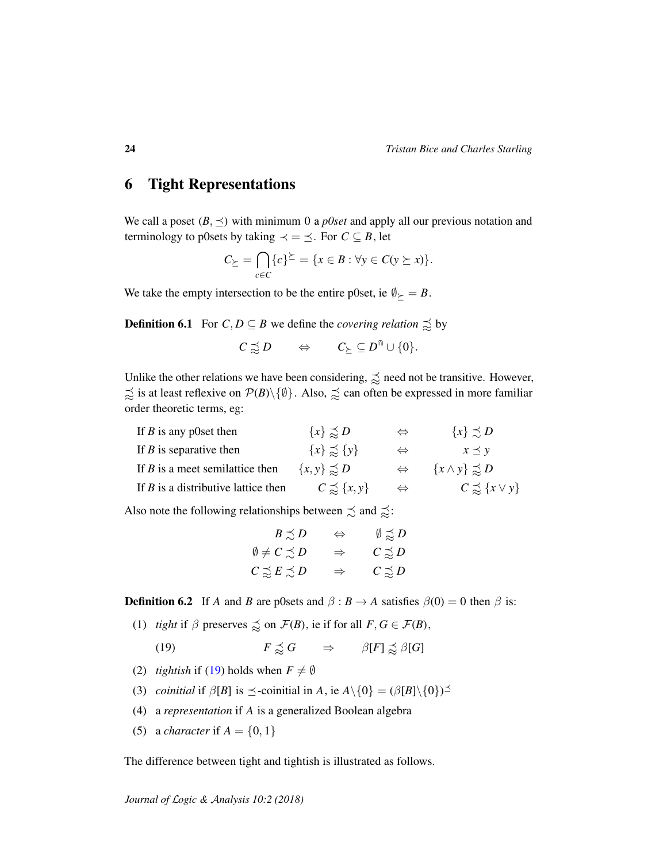# <span id="page-23-0"></span>6 Tight Representations

We call a poset  $(B, \preceq)$  with minimum 0 a *p0set* and apply all our previous notation and terminology to p0sets by taking  $\prec$  =  $\preceq$ . For *C* ⊆ *B*, let

$$
C_{\succeq} = \bigcap_{c \in C} \{c\}^{\succeq} = \{x \in B : \forall y \in C(y \succeq x)\}.
$$

We take the empty intersection to be the entire p0set, ie  $\emptyset \ge B$ .

<span id="page-23-2"></span>**Definition 6.1** For  $C, D \subseteq B$  we define the *covering relation*  $\leq \infty$  by

$$
C\precsim D\qquad\Leftrightarrow\qquad C_{\succeq}\subseteq D^{\Cap}\cup\{0\}.
$$

Unlike the other relations we have been considering,  $\precsim$  need not be transitive. However,  $\approx$  is at least reflexive on  $\mathcal{P}(B)\setminus\{\emptyset\}$ . Also,  $\approx$  can often be expressed in more familiar order theoretic terms, eg:

| If $B$ is any p0set then              | $\{x\} \precsim D$    | $\Leftrightarrow$ | $\{x\} \preceq D$           |
|---------------------------------------|-----------------------|-------------------|-----------------------------|
| If $B$ is separative then             | ${x} \geq {y}$        | $\Leftrightarrow$ | $x \preceq y$               |
| If $B$ is a meet semilattice then     | $\{x, y\} \precsim D$ | $\Leftrightarrow$ | $\{x \wedge y\} \precsim D$ |
| If $B$ is a distributive lattice then | $C \precsim \{x, y\}$ | $\Leftrightarrow$ | $C \precsim \{x \vee y\}$   |

Also note the following relationships between  $\precsim$  and  $\precsim$ :

<span id="page-23-1"></span>

| $B \precsim D$                | $\Leftrightarrow$ | $\emptyset \precsim D$ |
|-------------------------------|-------------------|------------------------|
| $\emptyset \neq C \precsim D$ | $\Rightarrow$     | $C \precsim D$         |
| $C \precnsim E \precnsim D$   | $\Rightarrow$     | $C \precsim D$         |

**Definition 6.2** If *A* and *B* are p0sets and  $\beta : B \to A$  satisfies  $\beta(0) = 0$  then  $\beta$  is:

(1) *tight* if  $\beta$  preserves  $\precsim$  on  $\mathcal{F}(B)$ , ie if for all  $F, G \in \mathcal{F}(B)$ ,

(19) 
$$
F \precsim G \qquad \Rightarrow \qquad \beta[F] \precsim \beta[G]
$$

- (2) *tightish* if [\(19\)](#page-23-1) holds when  $F \neq \emptyset$
- (3) *coinitial* if  $\beta[B]$  is  $\preceq$ -coinitial in *A*, ie  $A \setminus \{0\} = (\beta[B] \setminus \{0\})^{\preceq}$
- (4) a *representation* if *A* is a generalized Boolean algebra
- (5) a *character* if  $A = \{0, 1\}$

The difference between tight and tightish is illustrated as follows.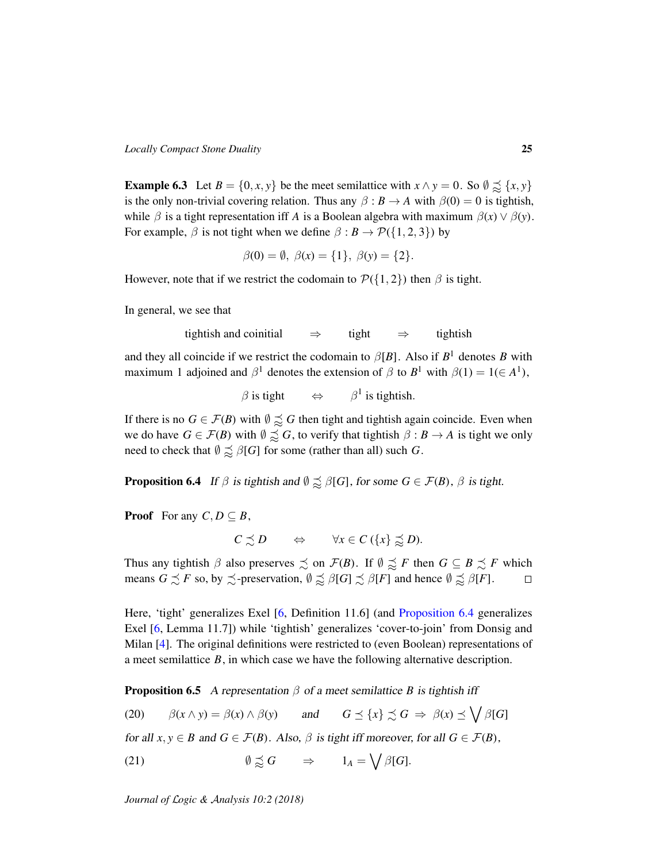**Example 6.3** Let  $B = \{0, x, y\}$  be the meet semilattice with  $x \wedge y = 0$ . So  $\emptyset \precsim \{x, y\}$ is the only non-trivial covering relation. Thus any  $\beta : B \to A$  with  $\beta(0) = 0$  is tightish, while  $\beta$  is a tight representation iff *A* is a Boolean algebra with maximum  $\beta(x) \vee \beta(y)$ . For example,  $\beta$  is not tight when we define  $\beta : B \to \mathcal{P}(\{1,2,3\})$  by

$$
\beta(0) = \emptyset
$$
,  $\beta(x) = \{1\}$ ,  $\beta(y) = \{2\}$ .

However, note that if we restrict the codomain to  $\mathcal{P}(\{1,2\})$  then  $\beta$  is tight.

In general, we see that

tightish and coinitial  $\Rightarrow$  tight  $\Rightarrow$  tightish

and they all coincide if we restrict the codomain to  $\beta[B]$ . Also if  $B^1$  denotes B with maximum 1 adjoined and  $\beta^1$  denotes the extension of  $\beta$  to  $B^1$  with  $\beta(1) = 1 \in A^1$ ),

 $\beta$  is tight  $\Leftrightarrow$   $\beta^1$  is tightish.

If there is no  $G \in \mathcal{F}(B)$  with  $\emptyset \precsim G$  then tight and tightish again coincide. Even when we do have  $G \in \mathcal{F}(B)$  with  $\emptyset \precsim G$ , to verify that tightish  $\beta : B \to A$  is tight we only need to check that  $\emptyset \preceq \beta[G]$  for some (rather than all) such *G*.

<span id="page-24-0"></span>**Proposition 6.4** If  $\beta$  is tightish and  $\emptyset \precsim \beta[G]$ , for some  $G \in \mathcal{F}(B)$ ,  $\beta$  is tight.

**Proof** For any  $C, D \subseteq B$ ,

$$
C \precsim D \qquad \Leftrightarrow \qquad \forall x \in C \left( \{x\} \precsim D \right).
$$

Thus any tightish  $\beta$  also preserves  $\precsim$  on  $\mathcal{F}(B)$ . If  $\emptyset \precsim F$  then  $G \subseteq B \precsim F$  which means  $G \precsim F$  so, by  $\precsim$ -preservation,  $\emptyset \precsim \beta[G] \precsim \beta[F]$  and hence  $\emptyset \precsim \beta[F]$ .  $\Box$ 

Here, 'tight' generalizes Exel [\[6,](#page-34-3) Definition 11.6] (and [Proposition 6.4](#page-24-0) generalizes Exel [\[6,](#page-34-3) Lemma 11.7]) while 'tightish' generalizes 'cover-to-join' from Donsig and Milan [\[4\]](#page-33-2). The original definitions were restricted to (even Boolean) representations of a meet semilattice *B*, in which case we have the following alternative description.

<span id="page-24-3"></span>**Proposition 6.5** A representation  $\beta$  of a meet semilattice *B* is tightish iff

<span id="page-24-1"></span>(20)  $\beta(x \wedge y) = \beta(x) \wedge \beta(y)$  and  $G \preceq \{x\} \precsim G \Rightarrow \beta(x) \preceq \bigvee \beta[G]$ 

for all  $x, y \in B$  and  $G \in \mathcal{F}(B)$ . Also,  $\beta$  is tight iff moreover, for all  $G \in \mathcal{F}(B)$ ,

<span id="page-24-2"></span>(21)  $\emptyset \precsim G \Rightarrow 1_A = \bigvee \beta[G].$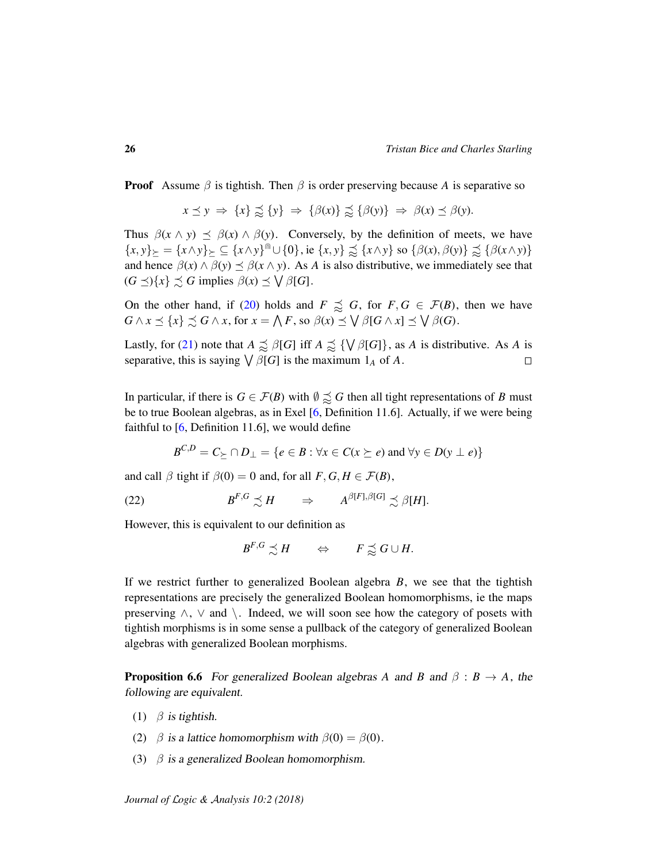**Proof** Assume  $\beta$  is tightish. Then  $\beta$  is order preserving because A is separative so

 $x \preceq y \Rightarrow \{x\} \preceq \{y\} \Rightarrow \{\beta(x)\}\preceq \{\beta(y)\}\Rightarrow \beta(x)\preceq \beta(y).$ 

Thus  $\beta(x \wedge y) \preceq \beta(x) \wedge \beta(y)$ . Conversely, by the definition of meets, we have  ${x, y}_{\geq} = {x \wedge y}_{\geq} \subseteq {x \wedge y}^{\text{in}} \cup {0}, \text{ ie } {x, y}_{\geq} \precsim {x \wedge y} \text{ so } {\beta(x), \beta(y)} \precsim {\beta(x \wedge y)}$ and hence  $\beta(x) \land \beta(y) \leq \beta(x \land y)$ . As *A* is also distributive, we immediately see that  $(G \preceq) \{x\} \preceq G$  implies  $\beta(x) \preceq \bigvee \beta[G]$ .

On the other hand, if [\(20\)](#page-24-1) holds and  $F \precsim G$ , for  $F, G \in \mathcal{F}(B)$ , then we have  $G \wedge x \leq \{x\} \precsim G \wedge x$ , for  $x = \bigwedge F$ , so  $\beta(x) \preceq \bigvee \beta[G \wedge x] \preceq \bigvee \beta(G)$ .

Lastly, for [\(21\)](#page-24-2) note that  $A \precsim \beta[G]$  iff  $A \precsim \{\forall \beta[G]\}$ , as *A* is distributive. As *A* is separative, this is saying  $\bigvee \beta[G]$  is the maximum  $1_A$  of A.  $\Box$ 

In particular, if there is  $G \in \mathcal{F}(B)$  with  $\emptyset \precsim G$  then all tight representations of *B* must be to true Boolean algebras, as in Exel [\[6,](#page-34-3) Definition 11.6]. Actually, if we were being faithful to  $[6,$  Definition 11.6], we would define

$$
B^{C,D} = C_{\succeq} \cap D_{\perp} = \{ e \in B : \forall x \in C \, (x \succeq e) \text{ and } \forall y \in D \, (y \perp e) \}
$$

and call  $\beta$  tight if  $\beta(0) = 0$  and, for all  $F, G, H \in \mathcal{F}(B)$ ,

 $(22)$  $F,G \precsim H \qquad \Rightarrow \qquad A^{\beta [F],\beta [G]} \precsim \beta [H].$ 

However, this is equivalent to our definition as

 $B^{F,G} \precsim H \qquad \Leftrightarrow \qquad F \precsim^{\prec} G \cup H.$ 

If we restrict further to generalized Boolean algebra *B*, we see that the tightish representations are precisely the generalized Boolean homomorphisms, ie the maps preserving  $\land$ ,  $\lor$  and  $\land$ . Indeed, we will soon see how the category of posets with tightish morphisms is in some sense a pullback of the category of generalized Boolean algebras with generalized Boolean morphisms.

<span id="page-25-0"></span>**Proposition 6.6** For generalized Boolean algebras *A* and *B* and  $\beta$  :  $B \rightarrow A$ , the following are equivalent.

- (1)  $\beta$  is tightish.
- (2)  $\beta$  is a lattice homomorphism with  $\beta(0) = \beta(0)$ .
- (3)  $\beta$  is a generalized Boolean homomorphism.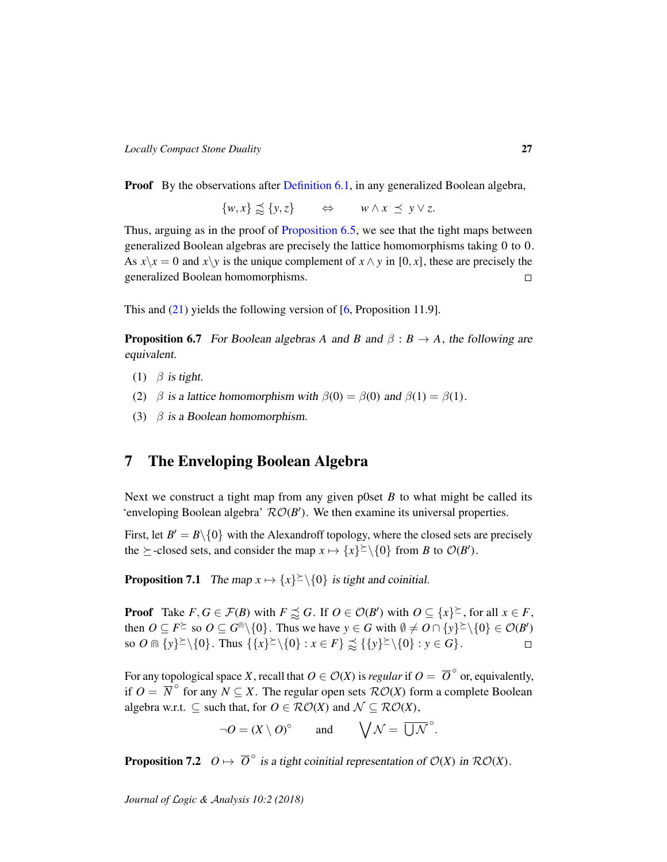**Proof** By the observations after [Definition 6.1,](#page-23-2) in any generalized Boolean algebra,

 $\{w, x\} \precsim \{y, z\}$   $\Leftrightarrow$   $w \wedge x \preceq y \vee z.$ 

Thus, arguing as in the proof of [Proposition 6.5,](#page-24-3) we see that the tight maps between generalized Boolean algebras are precisely the lattice homomorphisms taking 0 to 0. As  $x\lambda x = 0$  and  $x\lambda y$  is the unique complement of  $x \wedge y$  in [0, *x*], these are precisely the generalized Boolean homomorphisms.  $\Box$ 

This and  $(21)$  yields the following version of [\[6,](#page-34-3) Proposition 11.9].

**Proposition 6.7** For Boolean algebras *A* and *B* and  $\beta$  :  $B \rightarrow A$ , the following are equivalent.

- (1)  $\beta$  is tight.
- (2)  $\beta$  is a lattice homomorphism with  $\beta(0) = \beta(0)$  and  $\beta(1) = \beta(1)$ .
- (3)  $\beta$  is a Boolean homomorphism.

# 7 The Enveloping Boolean Algebra

Next we construct a tight map from any given p0set *B* to what might be called its 'enveloping Boolean algebra'  $\mathcal{RO}(B')$ . We then examine its universal properties.

First, let  $B' = B \setminus \{0\}$  with the Alexandroff topology, where the closed sets are precisely the  $\succeq$ -closed sets, and consider the map  $x \mapsto \{x\}^{\succeq} \setminus \{0\}$  from *B* to  $\mathcal{O}(B')$ .

<span id="page-26-0"></span>**Proposition 7.1** The map  $x \mapsto \{x\}^{\geq} \setminus \{0\}$  is tight and coinitial.

**Proof** Take  $F, G \in \mathcal{F}(B)$  with  $F \precsim G$ . If  $O \in \mathcal{O}(B')$  with  $O \subseteq \{x\}^{\succeq}$ , for all  $x \in F$ , then  $O \subseteq F^{\succeq}$  so  $O \subseteq G^{\cap} \setminus \{0\}$ . Thus we have  $y \in G$  with  $\emptyset \neq O \cap \{y\}^{\succeq} \setminus \{0\} \in \mathcal{O}(B')$ so  $O \cap \{y\}^{\geq} \setminus \{0\}$ . Thus  $\{\{x\}^{\geq} \setminus \{0\} : x \in F\} \precsim \{\{y\}^{\geq} \setminus \{0\} : y \in G\}.$  $\Box$ 

For any topological space *X*, recall that  $O \in \mathcal{O}(X)$  is *regular* if  $O = \overline{O}^{\circ}$  or, equivalently, if  $O = \overline{N}^{\circ}$  for any  $N \subseteq X$ . The regular open sets  $\mathcal{RO}(X)$  form a complete Boolean algebra w.r.t.  $\subset$  such that, for  $O \in \mathcal{RO}(X)$  and  $\mathcal{N} \subset \mathcal{RO}(X)$ ,

 $\neg O = (X \setminus O)^\circ$  and  $\bigvee \mathcal{N} = \overline{\bigcup \mathcal{N}}^\circ$ .

<span id="page-26-1"></span>**Proposition 7.2**  $O \mapsto \overline{O}^{\circ}$  is a tight coinitial representation of  $O(X)$  in  $\mathcal{RO}(X)$ .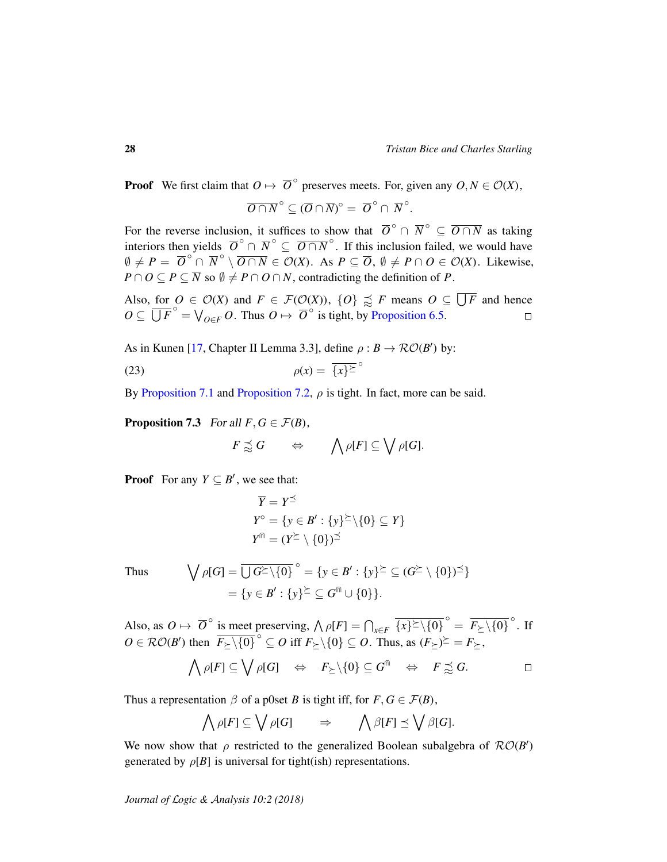**Proof** We first claim that 
$$
O \mapsto \overline{O}^{\circ}
$$
 preserves meets. For, given any  $O, N \in \mathcal{O}(X)$ ,

$$
\overline{O \cap N}^{\circ} \subseteq (\overline{O} \cap \overline{N})^{\circ} = \overline{O}^{\circ} \cap \overline{N}^{\circ}.
$$

For the reverse inclusion, it suffices to show that  $\overline{O}^\circ \cap \overline{N}^\circ \subseteq \overline{O \cap N}$  as taking interiors then yields  $\overline{O}^{\circ} \cap \overline{N}^{\circ} \subseteq \overline{O \cap N}^{\circ}$ . If this inclusion failed, we would have  $\emptyset \neq P = \overline{O}^{\circ} \cap \overline{N}^{\circ} \setminus \overline{O \cap N} \in \mathcal{O}(X)$ . As  $P \subseteq \overline{O}$ ,  $\emptyset \neq P \cap O \in \mathcal{O}(X)$ . Likewise,  $P \cap O \subseteq P \subseteq \overline{N}$  so  $\emptyset \neq P \cap O \cap N$ , contradicting the definition of *P*.

Also, for  $O \in \mathcal{O}(X)$  and  $F \in \mathcal{F}(\mathcal{O}(X))$ ,  $\{O\} \precsim F$  means  $O \subseteq \overline{\bigcup F}$  and hence  $O \subseteq \overline{\bigcup F}^{\circ} = \bigvee_{O \in F} O$ . Thus  $O \mapsto \overline{O}^{\circ}$  is tight, by [Proposition 6.5.](#page-24-3)

As in Kunen [\[17,](#page-34-13) Chapter II Lemma 3.3], define  $\rho : B \to \mathcal{RO}(B')$  by:

$$
\rho(x) = \overline{\{x\}^{\succeq}}^{\circ}
$$

By [Proposition 7.1](#page-26-0) and [Proposition 7.2,](#page-26-1)  $\rho$  is tight. In fact, more can be said.

<span id="page-27-1"></span>**Proposition 7.3** For all  $F, G \in \mathcal{F}(B)$ ,

<span id="page-27-0"></span>
$$
F\precapprox G\qquad\Leftrightarrow\qquad \bigwedge \rho[F]\subseteq \bigvee \rho[G].
$$

**Proof** For any  $Y \subseteq B'$ , we see that:

$$
\overline{Y} = Y^{\leq}
$$
  
\n
$$
Y^{\circ} = \{ y \in B' : \{y\}^{\geq} \setminus \{0\} \subseteq Y \}
$$
  
\n
$$
Y^{\text{fin}} = (Y^{\geq} \setminus \{0\})^{\leq}
$$

Thus 
$$
\bigvee \rho[G] = \overline{\bigcup G^{\succeq}} \setminus \{0\}^{\circ} = \{y \in B' : \{y\}^{\succeq} \subseteq (G^{\succeq}} \setminus \{0\})^{\preceq}\} = \{y \in B' : \{y\}^{\succeq} \subseteq G^{\text{fin}} \cup \{0\}\}.
$$

Also, as  $O \mapsto \overline{O}^{\circ}$  is meet preserving,  $\bigwedge \rho[F] = \bigcap_{x \in F} \overline{\{x\}^{\geq} \setminus \{0\}}^{\circ} = \overline{F_{\succeq} \setminus \{0\}}^{\circ}$ . If  $O \in \mathcal{RO}(B')$  then  $\overline{F_{\geq} \setminus \{0\}}^{\circ} \subseteq O$  iff  $F_{\geq} \setminus \{0\} \subseteq O$ . Thus, as  $(F_{\geq})^{\geq} = F_{\geq}$ ,

$$
\bigwedge \rho[F] \subseteq \bigvee \rho[G] \quad \Leftrightarrow \quad F_{\succeq} \setminus \{0\} \subseteq G^{\Cap} \quad \Leftrightarrow \quad F \precapprox^{\check{}} G.
$$

Thus a representation  $\beta$  of a p0set *B* is tight iff, for  $F, G \in \mathcal{F}(B)$ ,

$$
\bigwedge \rho[F] \subseteq \bigvee \rho[G] \qquad \Rightarrow \qquad \bigwedge \beta[F] \preceq \bigvee \beta[G].
$$

We now show that  $\rho$  restricted to the generalized Boolean subalgebra of  $\mathcal{RO}(B')$ generated by  $\rho[B]$  is universal for tight(ish) representations.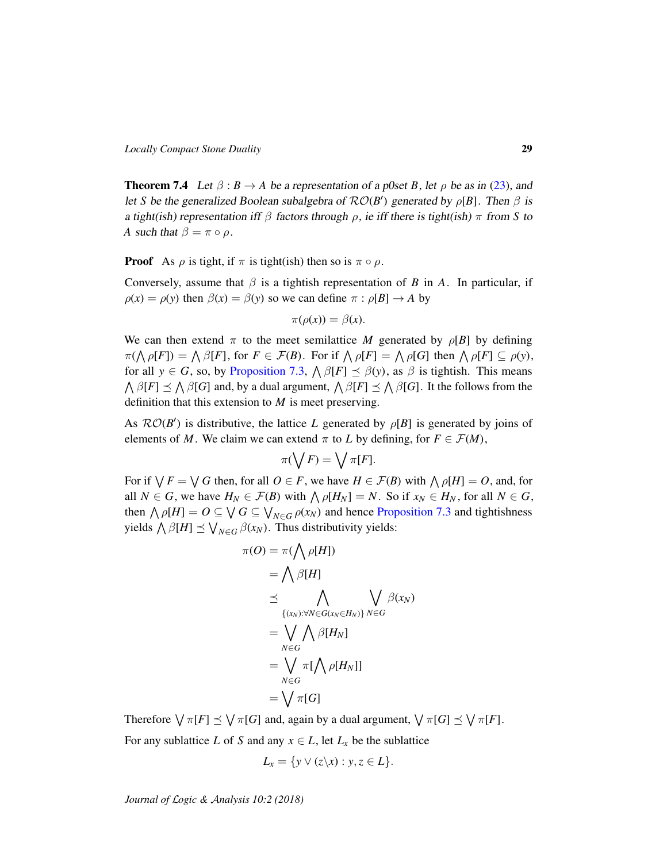<span id="page-28-0"></span>**Theorem 7.4** Let  $\beta$  :  $B \rightarrow A$  be a representation of a p0set *B*, let  $\rho$  be as in [\(23\)](#page-27-0), and let *S* be the generalized Boolean subalgebra of  $\mathcal{RO}(B')$  generated by  $\rho[B]$ . Then  $\beta$  is a tight(ish) representation iff  $\beta$  factors through  $\rho$ , ie iff there is tight(ish)  $\pi$  from *S* to *A* such that  $\beta = \pi \circ \rho$ .

**Proof** As  $\rho$  is tight, if  $\pi$  is tight(ish) then so is  $\pi \circ \rho$ .

Conversely, assume that  $\beta$  is a tightish representation of *B* in *A*. In particular, if  $\rho(x) = \rho(y)$  then  $\beta(x) = \beta(y)$  so we can define  $\pi : \rho[B] \to A$  by

$$
\pi(\rho(x)) = \beta(x).
$$

We can then extend  $\pi$  to the meet semilattice *M* generated by  $\rho[B]$  by defining  $\pi(\bigwedge \rho[F]) = \bigwedge \beta[F]$ , for  $F \in \mathcal{F}(B)$ . For if  $\bigwedge \rho[F] = \bigwedge \rho[G]$  then  $\bigwedge \rho[F] \subseteq \rho(y)$ , for all  $y \in G$ , so, by [Proposition 7.3,](#page-27-1)  $\bigwedge \beta[F] \preceq \beta(y)$ , as  $\beta$  is tightish. This means  $\bigwedge \beta[F] \preceq \bigwedge \beta[G]$  and, by a dual argument,  $\bigwedge \beta[F] \preceq \bigwedge \beta[G]$ . It the follows from the definition that this extension to *M* is meet preserving.

As  $\mathcal{RO}(B')$  is distributive, the lattice *L* generated by  $\rho[B]$  is generated by joins of elements of *M*. We claim we can extend  $\pi$  to *L* by defining, for  $F \in \mathcal{F}(M)$ ,

$$
\pi(\bigvee F) = \bigvee \pi[F].
$$

For if  $\bigvee F = \bigvee G$  then, for all  $O \in F$ , we have  $H \in \mathcal{F}(B)$  with  $\bigwedge \rho[H] = O$ , and, for all  $N \in G$ , we have  $H_N \in \mathcal{F}(B)$  with  $\bigwedge \rho[H_N] = N$ . So if  $x_N \in H_N$ , for all  $N \in G$ , then  $\bigwedge \rho[H] = O \subseteq \bigvee G \subseteq \bigvee_{N \in G} \rho(x_N)$  and hence [Proposition 7.3](#page-27-1) and tightishness yields  $\bigwedge \beta[H] \preceq \bigvee_{N \in G} \beta(x_N)$ . Thus distributivity yields:

$$
\pi(O) = \pi(\bigwedge \rho[H])
$$
\n
$$
= \bigwedge \beta[H]
$$
\n
$$
\leq \bigwedge_{\{(x_N): \forall N \in G(x_N \in H_N)\}} \bigvee_{N \in G} \beta(x_N)
$$
\n
$$
= \bigvee_{N \in G} \bigwedge \beta[H_N]
$$
\n
$$
= \bigvee_{N \in G} \pi[\bigwedge \rho[H_N]]
$$
\n
$$
= \bigvee_{N \in G} \pi[G]
$$

Therefore  $\bigvee \pi[F] \preceq \bigvee \pi[G]$  and, again by a dual argument,  $\bigvee \pi[G] \preceq \bigvee \pi[F]$ . For any sublattice *L* of *S* and any  $x \in L$ , let  $L_x$  be the sublattice

$$
L_x = \{ y \vee (z \backslash x) : y, z \in L \}.
$$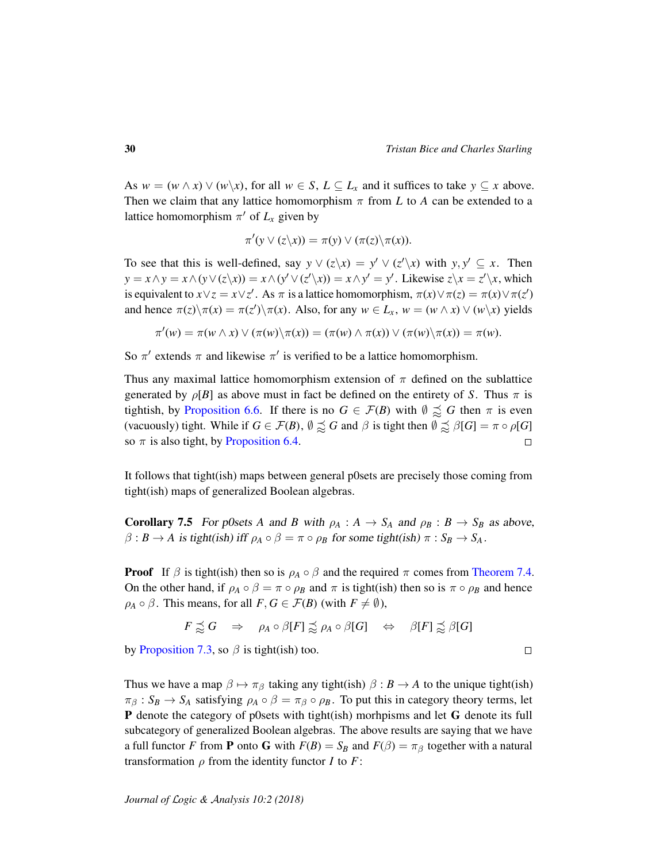As  $w = (w \wedge x) \vee (w \backslash x)$ , for all  $w \in S$ ,  $L \subseteq L_x$  and it suffices to take  $y \subseteq x$  above. Then we claim that any lattice homomorphism  $\pi$  from *L* to *A* can be extended to a lattice homomorphism  $\pi'$  of  $L_x$  given by

$$
\pi'(y \vee (z \backslash x)) = \pi(y) \vee (\pi(z) \backslash \pi(x)).
$$

To see that this is well-defined, say  $y \vee (z \vee x) = y' \vee (z' \vee x)$  with  $y, y' \subseteq x$ . Then  $y = x \wedge y = x \wedge (y \vee (z \setminus x)) = x \wedge (y' \vee (z' \setminus x)) = x \wedge y' = y'$ . Likewise  $z \setminus x = z' \setminus x$ , which is equivalent to  $x \vee z = x \vee z'$ . As  $\pi$  is a lattice homomorphism,  $\pi(x) \vee \pi(z) = \pi(x) \vee \pi(z')$ and hence  $\pi(z)\overline{\pi(x)} = \pi(z')\overline{\pi(x)}$ . Also, for any  $w \in L_x$ ,  $w = (w \wedge x) \vee (w \vee x)$  yields

$$
\pi'(w) = \pi(w \wedge x) \vee (\pi(w) \backslash \pi(x)) = (\pi(w) \wedge \pi(x)) \vee (\pi(w) \backslash \pi(x)) = \pi(w).
$$

So  $\pi'$  extends  $\pi$  and likewise  $\pi'$  is verified to be a lattice homomorphism.

Thus any maximal lattice homomorphism extension of  $\pi$  defined on the sublattice generated by  $\rho[B]$  as above must in fact be defined on the entirety of *S*. Thus  $\pi$  is tightish, by [Proposition 6.6.](#page-25-0) If there is no  $G \in \mathcal{F}(B)$  with  $\emptyset \precsim G$  then  $\pi$  is even (vacuously) tight. While if  $G \in \mathcal{F}(B)$ ,  $\emptyset \precsim G$  and  $\beta$  is tight then  $\emptyset \precsim \beta[G] = \pi \circ \rho[G]$ so  $\pi$  is also tight, by [Proposition 6.4.](#page-24-0)  $\Box$ 

It follows that tight(ish) maps between general p0sets are precisely those coming from tight(ish) maps of generalized Boolean algebras.

**Corollary 7.5** For p0sets *A* and *B* with  $\rho_A : A \to S_A$  and  $\rho_B : B \to S_B$  as above,  $\beta$  :  $B \to A$  is tight(ish) iff  $\rho_A \circ \beta = \pi \circ \rho_B$  for some tight(ish)  $\pi : S_B \to S_A$ .

**Proof** If  $\beta$  is tight(ish) then so is  $\rho_A \circ \beta$  and the required  $\pi$  comes from [Theorem 7.4.](#page-28-0) On the other hand, if  $\rho_A \circ \beta = \pi \circ \rho_B$  and  $\pi$  is tight(ish) then so is  $\pi \circ \rho_B$  and hence  $\rho_A \circ \beta$ . This means, for all  $F, G \in \mathcal{F}(B)$  (with  $F \neq \emptyset$ ),

$$
F \precsim G \quad \Rightarrow \quad \rho_A \circ \beta[F] \precsim \rho_A \circ \beta[G] \quad \Leftrightarrow \quad \beta[F] \precsim \beta[G]
$$

by [Proposition 7.3,](#page-27-1) so  $\beta$  is tight(ish) too.

Thus we have a map  $\beta \mapsto \pi_{\beta}$  taking any tight(ish)  $\beta : B \to A$  to the unique tight(ish)  $\pi_\beta : S_B \to S_A$  satisfying  $\rho_A \circ \beta = \pi_\beta \circ \rho_B$ . To put this in category theory terms, let P denote the category of p0sets with tight(ish) morhpisms and let G denote its full subcategory of generalized Boolean algebras. The above results are saying that we have a full functor *F* from **P** onto **G** with  $F(B) = S_B$  and  $F(\beta) = \pi_\beta$  together with a natural transformation  $\rho$  from the identity functor *I* to *F*:

$$
\Box
$$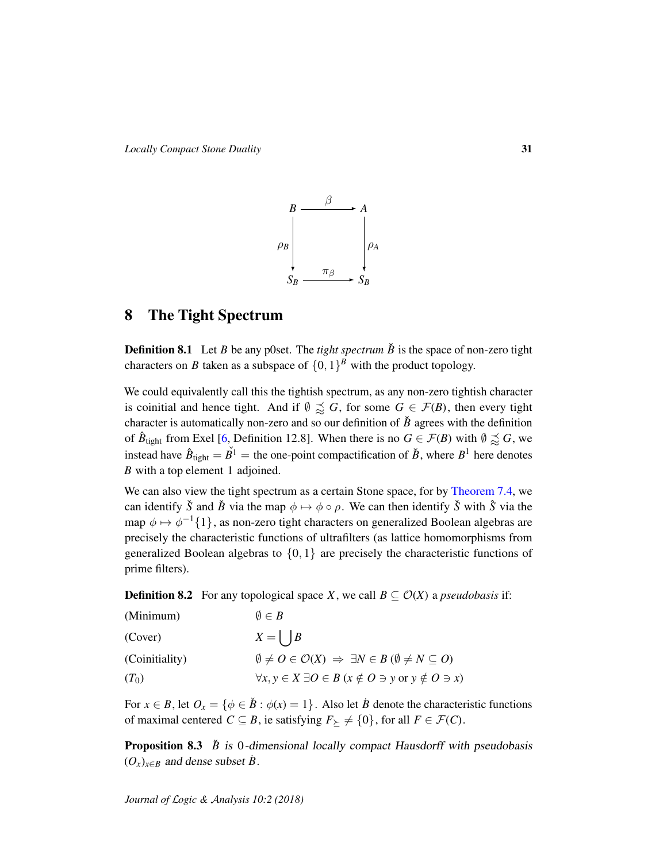*Locally Compact Stone Duality* 31



# <span id="page-30-0"></span>8 The Tight Spectrum

**Definition 8.1** Let *B* be any p0set. The *tight spectrum*  $\check{B}$  is the space of non-zero tight characters on *B* taken as a subspace of  $\{0, 1\}^B$  with the product topology.

We could equivalently call this the tightish spectrum, as any non-zero tightish character is coinitial and hence tight. And if  $\emptyset \precsim G$ , for some  $G \in \mathcal{F}(B)$ , then every tight character is automatically non-zero and so our definition of  $\check{B}$  agrees with the definition of  $\hat{B}_{\text{tight}}$  from Exel [\[6,](#page-34-3) Definition 12.8]. When there is no  $G \in \mathcal{F}(B)$  with  $\emptyset \precsim G$ , we instead have  $\hat{B}_{\text{tight}} = \check{B}^1$  = the one-point compactification of  $\check{B}$ , where  $B^1$  here denotes *B* with a top element 1 adjoined.

We can also view the tight spectrum as a certain Stone space, for by [Theorem 7.4,](#page-28-0) we can identify  $\check{S}$  and  $\check{B}$  via the map  $\phi \mapsto \phi \circ \rho$ . We can then identify  $\check{S}$  with  $\hat{S}$  via the map  $\phi \mapsto \phi^{-1}\{1\}$ , as non-zero tight characters on generalized Boolean algebras are precisely the characteristic functions of ultrafilters (as lattice homomorphisms from generalized Boolean algebras to  $\{0, 1\}$  are precisely the characteristic functions of prime filters).

<span id="page-30-2"></span><span id="page-30-1"></span>**Definition 8.2** For any topological space *X*, we call  $B \subseteq \mathcal{O}(X)$  a *pseudobasis* if:

<span id="page-30-5"></span><span id="page-30-3"></span>

| (Minimum)      | $\emptyset \in B$                                                                                  |
|----------------|----------------------------------------------------------------------------------------------------|
| (Cover)        | $X = \begin{pmatrix} B \end{pmatrix}$                                                              |
| (Coinitiality) | $\emptyset \neq O \in \mathcal{O}(X) \Rightarrow \exists N \in B \ (\emptyset \neq N \subseteq O)$ |
| $(T_0)$        | $\forall x, y \in X \exists O \in B \ (x \notin O \ni y \text{ or } y \notin O \ni x)$             |

<span id="page-30-4"></span>For  $x \in B$ , let  $O_x = \{ \phi \in \check{B} : \phi(x) = 1 \}$ . Also let  $\check{B}$  denote the characteristic functions of maximal centered  $C \subseteq B$ , ie satisfying  $F \rightarrow \{0\}$ , for all  $F \in \mathcal{F}(C)$ .

<span id="page-30-6"></span>**Proposition 8.3**  $\dot{B}$  is 0-dimensional locally compact Hausdorff with pseudobasis  $(O_x)_{x \in B}$  and dense subset *B*.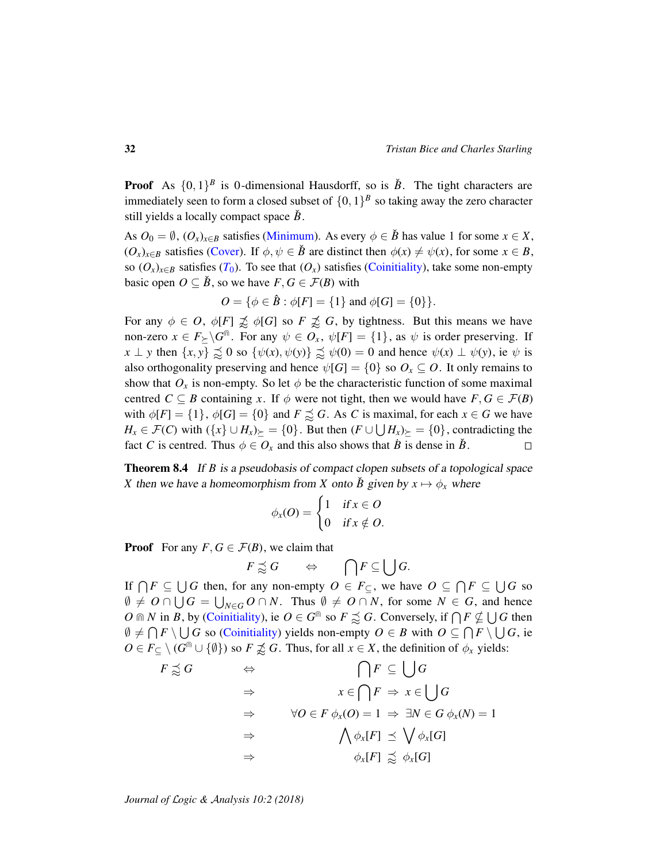**Proof** As  $\{0,1\}^B$  is 0-dimensional Hausdorff, so is  $\check{B}$ . The tight characters are immediately seen to form a closed subset of  $\{0, 1\}^B$  so taking away the zero character still yields a locally compact space  $\check{B}$ .

As  $O_0 = \emptyset$ ,  $(O_x)_{x \in B}$  satisfies [\(Minimum\)](#page-30-2). As every  $\phi \in \check{B}$  has value 1 for some  $x \in X$ ,  $(O_x)_{x \in B}$  satisfies [\(Cover\)](#page-30-3). If  $\phi, \psi \in \check{B}$  are distinct then  $\phi(x) \neq \psi(x)$ , for some  $x \in B$ , so  $(O_x)_{x \in B}$  satisfies  $(T_0)$  $(T_0)$  $(T_0)$ . To see that  $(O_x)$  satisfies [\(Coinitiality\)](#page-30-5), take some non-empty basic open  $O \subseteq \check{B}$ , so we have  $F, G \in \mathcal{F}(B)$  with

$$
O = \{ \phi \in \hat{B} : \phi[F] = \{1\} \text{ and } \phi[G] = \{0\} \}.
$$

For any  $\phi \in O$ ,  $\phi[F] \not\preceq \phi[G]$  so  $F \not\preceq G$ , by tightness. But this means we have non-zero  $x \in F_{\succeq} \backslash G^{\text{m}}$ . For any  $\psi \in O_x$ ,  $\psi[F] = \{1\}$ , as  $\psi$  is order preserving. If *x*  $\perp$  *y* then  $\{x, y\} \precsim 0$  so  $\{\psi(x), \psi(y)\} \precsim \psi(0) = 0$  and hence  $\psi(x) \perp \psi(y)$ , ie  $\psi$  is also orthogonality preserving and hence  $\psi[G] = \{0\}$  so  $O_x \subseteq O$ . It only remains to show that  $O_x$  is non-empty. So let  $\phi$  be the characteristic function of some maximal centred *C*  $\subseteq$  *B* containing *x*. If  $\phi$  were not tight, then we would have *F*, *G*  $\in$  *F*(*B*) with  $\phi[F] = \{1\}$ ,  $\phi[G] = \{0\}$  and  $F \precsim G$ . As C is maximal, for each  $x \in G$  we have *H*<sub>*x*</sub> ∈  $\mathcal{F}(C)$  with  $({x} \cup {H_x})_{\succeq} = {0}$ . But then  $(F \cup \bigcup H_x)_{\succeq} = {0}$ , contradicting the fact *C* is centred. Thus  $\phi \in O_x$  and this also shows that *B* is dense in *B*.  $\Box$ 

Theorem 8.4 If *B* is a pseudobasis of compact clopen subsets of a topological space *X* then we have a homeomorphism from *X* onto *B*<sup> $i$ </sup> given by  $x \mapsto \phi_x$  where

$$
\phi_x(O) = \begin{cases} 1 & \text{if } x \in O \\ 0 & \text{if } x \notin O. \end{cases}
$$

**Proof** For any  $F, G \in \mathcal{F}(B)$ , we claim that

$$
F \precsim G \qquad \Leftrightarrow \qquad \bigcap F \subseteq \bigcup G.
$$

If  $\bigcap F \subseteq \bigcup G$  then, for any non-empty  $O \in F_{\subseteq}$ , we have  $O \subseteq \bigcap F \subseteq \bigcup G$  so  $\emptyset \neq O \cap \bigcup G = \bigcup_{N \in G} O \cap N$ . Thus  $\emptyset \neq O \cap N$ , for some  $N \in G$ , and hence *O*  $\cap$  *N* in *B*, by [\(Coinitiality\)](#page-30-5), ie  $O \in G^{\cap}$  so  $F \precsim G$ . Conversely, if  $\bigcap F \nsubseteq \bigcup G$  then  $\emptyset \neq \bigcap F \setminus \bigcup G$  so [\(Coinitiality\)](#page-30-5) yields non-empty  $O \in B$  with  $O \subseteq \bigcap F \setminus \bigcup G$ , ie  $O \in F \subseteq \setminus (G^{\cap} \cup \{\emptyset\})$  so  $F \not\preceq G$ . Thus, for all  $x \in X$ , the definition of  $\phi_x$  yields:

$$
F \precsim G \qquad \Leftrightarrow \qquad \bigcap F \subseteq \bigcup G
$$
  

$$
\Rightarrow \qquad x \in \bigcap F \Rightarrow x \in \bigcup G
$$
  

$$
\Rightarrow \qquad \forall O \in F \ \phi_x(O) = 1 \Rightarrow \exists N \in G \ \phi_x(N) = 1
$$
  

$$
\Rightarrow \qquad \bigwedge \phi_x[F] \precsim \bigvee \phi_x[G]
$$
  

$$
\Rightarrow \qquad \phi_x[F] \precsim \phi_x[G]
$$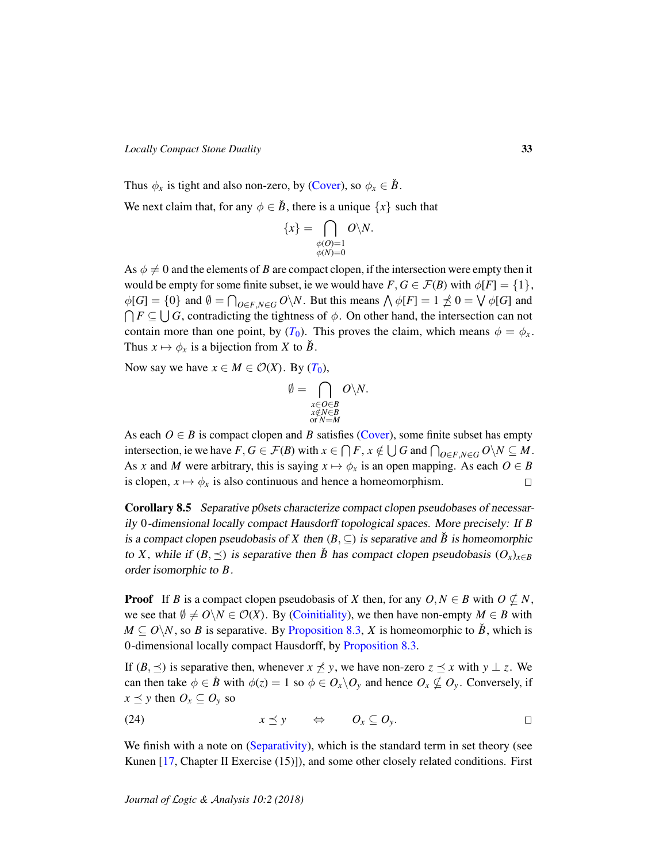*Locally Compact Stone Duality* 33

Thus  $\phi_x$  is tight and also non-zero, by [\(Cover\)](#page-30-3), so  $\phi_x \in \check{B}$ .

We next claim that, for any  $\phi \in \check{B}$ , there is a unique  $\{x\}$  such that

$$
\{x\}=\bigcap_{\substack{\phi(O)=1\\ \phi(N)=0}}O\backslash N.
$$

As  $\phi \neq 0$  and the elements of *B* are compact clopen, if the intersection were empty then it would be empty for some finite subset, ie we would have  $F, G \in \mathcal{F}(B)$  with  $\phi[F] = \{1\}$ ,  $\phi[G] = \{0\}$  and  $\emptyset = \bigcap_{O \in F, N \in G} O \backslash N$ . But this means  $\bigwedge \phi[F] = 1 \nleq 0 = \bigvee \phi[G]$  and  $\bigcap F \subseteq \bigcup G$ , contradicting the tightness of  $\phi$ . On other hand, the intersection can not contain more than one point, by  $(T_0)$  $(T_0)$  $(T_0)$ . This proves the claim, which means  $\phi = \phi_x$ . Thus  $x \mapsto \phi_x$  is a bijection from *X* to  $\check{B}$ .

Now say we have  $x \in M \in \mathcal{O}(X)$ . By  $(T_0)$  $(T_0)$  $(T_0)$ ,

$$
\emptyset = \bigcap_{\substack{x \in O \in B \\ x \notin N \in B \\ \text{or } N = M}} O \setminus N.
$$

As each  $O \in B$  is compact clopen and *B* satisfies [\(Cover\)](#page-30-3), some finite subset has empty intersection, ie we have  $F, G \in \mathcal{F}(B)$  with  $x \in \bigcap F$ ,  $x \notin \bigcup G$  and  $\bigcap_{O \in F, N \in G} O \setminus N \subseteq M$ . As *x* and *M* were arbitrary, this is saying  $x \mapsto \phi_x$  is an open mapping. As each  $O \in B$ is clopen,  $x \mapsto \phi_x$  is also continuous and hence a homeomorphism.  $\Box$ 

<span id="page-32-0"></span>Corollary 8.5 Separative p0sets characterize compact clopen pseudobases of necessarily 0-dimensional locally compact Hausdorff topological spaces. More precisely: If *B* is a compact clopen pseudobasis of *X* then  $(B, \subseteq)$  is separative and  $\check{B}$  is homeomorphic to *X*, while if  $(B, \preceq)$  is separative then  $\check{B}$  has compact clopen pseudobasis  $(O_x)_{x \in B}$ order isomorphic to *B*.

**Proof** If *B* is a compact clopen pseudobasis of *X* then, for any  $O, N \in B$  with  $O \not\subset N$ , we see that  $\emptyset \neq O\setminus N \in \mathcal{O}(X)$ . By [\(Coinitiality\)](#page-30-5), we then have non-empty  $M \in B$  with  $M \subseteq O\backslash N$ , so *B* is separative. By [Proposition 8.3,](#page-30-6) *X* is homeomorphic to  $\check{B}$ , which is 0-dimensional locally compact Hausdorff, by [Proposition 8.3.](#page-30-6)

If  $(B, \preceq)$  is separative then, whenever  $x \nleq y$ , we have non-zero  $z \preceq x$  with  $y \perp z$ . We can then take  $\phi \in \dot{B}$  with  $\phi(z) = 1$  so  $\phi \in O_x \backslash O_y$  and hence  $O_x \nsubseteq O_y$ . Conversely, if  $x \leq y$  then  $O_x \subseteq O_y$  so

<span id="page-32-1"></span>
$$
(24) \t\t x \preceq y \t \Leftrightarrow \t O_x \subseteq O_y. \square
$$

We finish with a note on [\(Separativity\)](#page-22-1), which is the standard term in set theory (see Kunen [\[17,](#page-34-13) Chapter II Exercise (15)]), and some other closely related conditions. First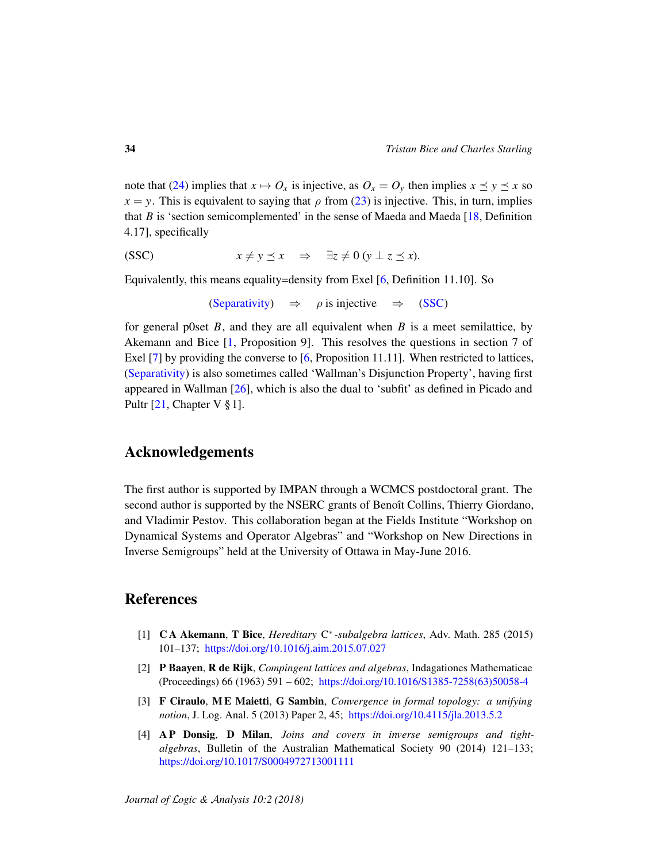note that [\(24\)](#page-32-1) implies that  $x \mapsto O_x$  is injective, as  $O_x = O_y$  then implies  $x \preceq y \preceq x$  so  $x = y$ . This is equivalent to saying that  $\rho$  from [\(23\)](#page-27-0) is injective. This, in turn, implies that *B* is 'section semicomplemented' in the sense of Maeda and Maeda  $[18,$  Definition 4.17], specifically

<span id="page-33-3"></span>
$$
(SSC) \t\t x \neq y \preceq x \Rightarrow \exists z \neq 0 \ (y \perp z \preceq x).
$$

Equivalently, this means equality=density from Exel [\[6,](#page-34-3) Definition 11.10]. So

[\(Separativity\)](#page-22-1)  $\Rightarrow$   $\rho$  is injective  $\Rightarrow$  [\(SSC\)](#page-33-3)

for general p0set *B*, and they are all equivalent when *B* is a meet semilattice, by Akemann and Bice [\[1,](#page-33-4) Proposition 9]. This resolves the questions in section 7 of Exel [\[7\]](#page-34-15) by providing the converse to [\[6,](#page-34-3) Proposition 11.11]. When restricted to lattices, [\(Separativity\)](#page-22-1) is also sometimes called 'Wallman's Disjunction Property', having first appeared in Wallman [\[26\]](#page-35-1), which is also the dual to 'subfit' as defined in Picado and Pultr [\[21,](#page-35-3) Chapter V § 1].

## Acknowledgements

The first author is supported by IMPAN through a WCMCS postdoctoral grant. The second author is supported by the NSERC grants of Benoît Collins, Thierry Giordano, and Vladimir Pestov. This collaboration began at the Fields Institute "Workshop on Dynamical Systems and Operator Algebras" and "Workshop on New Directions in Inverse Semigroups" held at the University of Ottawa in May-June 2016.

# References

- <span id="page-33-4"></span>[1] C A Akemann, T Bice, *Hereditary* C ∗ *-subalgebra lattices*, Adv. Math. 285 (2015) 101–137; <https://doi.org/10.1016/j.aim.2015.07.027>
- <span id="page-33-0"></span>[2] P Baayen, R de Rijk, *Compingent lattices and algebras*, Indagationes Mathematicae (Proceedings) 66 (1963) 591 – 602; [https://doi.org/10.1016/S1385-7258\(63\)50058-4](https://doi.org/10.1016/S1385-7258(63)50058-4)
- <span id="page-33-1"></span>[3] F Ciraulo, M E Maietti, G Sambin, *Convergence in formal topology: a unifying notion*, J. Log. Anal. 5 (2013) Paper 2, 45; <https://doi.org/10.4115/jla.2013.5.2>
- <span id="page-33-2"></span>[4] A P Donsig, D Milan, *Joins and covers in inverse semigroups and tightalgebras*, Bulletin of the Australian Mathematical Society 90 (2014) 121–133; <https://doi.org/10.1017/S0004972713001111>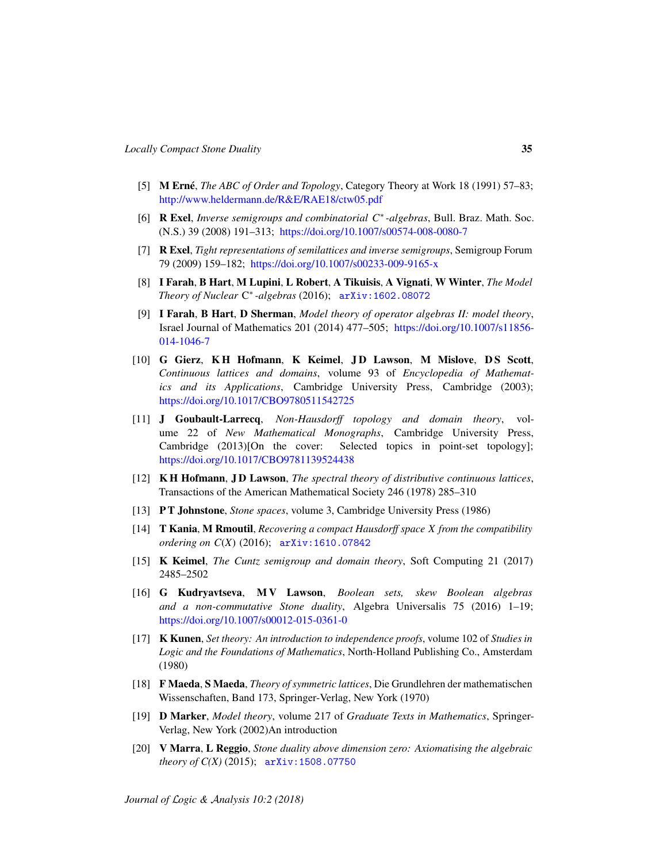- <span id="page-34-9"></span>[5] **M Erné**, *The ABC of Order and Topology*, Category Theory at Work 18 (1991) 57–83; <http://www.heldermann.de/R&E/RAE18/ctw05.pdf>
- <span id="page-34-3"></span>[6] R Exel, *Inverse semigroups and combinatorial C*<sup>∗</sup> *-algebras*, Bull. Braz. Math. Soc. (N.S.) 39 (2008) 191–313; <https://doi.org/10.1007/s00574-008-0080-7>
- <span id="page-34-15"></span>[7] R Exel, *Tight representations of semilattices and inverse semigroups*, Semigroup Forum 79 (2009) 159–182; <https://doi.org/10.1007/s00233-009-9165-x>
- <span id="page-34-7"></span>[8] I Farah, B Hart, M Lupini, L Robert, A Tikuisis, A Vignati, W Winter, *The Model Theory of Nuclear* C ∗ *-algebras* (2016); [arXiv:1602.08072](http://arxiv.org/abs/1602.08072)
- <span id="page-34-6"></span>[9] I Farah, B Hart, D Sherman, *Model theory of operator algebras II: model theory*, Israel Journal of Mathematics 201 (2014) 477–505; [https://doi.org/10.1007/s11856-](https://doi.org/10.1007/s11856-014-1046-7) [014-1046-7](https://doi.org/10.1007/s11856-014-1046-7)
- <span id="page-34-1"></span>[10] G Gierz, KH Hofmann, K Keimel, JD Lawson, M Mislove, DS Scott, *Continuous lattices and domains*, volume 93 of *Encyclopedia of Mathematics and its Applications*, Cambridge University Press, Cambridge (2003); <https://doi.org/10.1017/CBO9780511542725>
- <span id="page-34-12"></span>[11] J Goubault-Larrecq, *Non-Hausdorff topology and domain theory*, volume 22 of *New Mathematical Monographs*, Cambridge University Press, Cambridge (2013)[On the cover: Selected topics in point-set topology]; <https://doi.org/10.1017/CBO9781139524438>
- <span id="page-34-0"></span>[12] K H Hofmann, J D Lawson, *The spectral theory of distributive continuous lattices*, Transactions of the American Mathematical Society 246 (1978) 285–310
- <span id="page-34-2"></span>[13] P T Johnstone, *Stone spaces*, volume 3, Cambridge University Press (1986)
- <span id="page-34-4"></span>[14] T Kania, M Rmoutil, *Recovering a compact Hausdorff space X from the compatibility ordering on C*(*X*) (2016); [arXiv:1610.07842](http://arxiv.org/abs/1610.07842)
- <span id="page-34-10"></span>[15] K Keimel, *The Cuntz semigroup and domain theory*, Soft Computing 21 (2017) 2485–2502
- <span id="page-34-8"></span>[16] G Kudryavtseva, MV Lawson, *Boolean sets, skew Boolean algebras and a non-commutative Stone duality*, Algebra Universalis 75 (2016) 1–19; <https://doi.org/10.1007/s00012-015-0361-0>
- <span id="page-34-13"></span>[17] K Kunen, *Set theory: An introduction to independence proofs*, volume 102 of *Studies in Logic and the Foundations of Mathematics*, North-Holland Publishing Co., Amsterdam (1980)
- <span id="page-34-14"></span>[18] F Maeda, S Maeda, *Theory of symmetric lattices*, Die Grundlehren der mathematischen Wissenschaften, Band 173, Springer-Verlag, New York (1970)
- <span id="page-34-11"></span>[19] D Marker, *Model theory*, volume 217 of *Graduate Texts in Mathematics*, Springer-Verlag, New York (2002)An introduction
- <span id="page-34-5"></span>[20] V Marra, L Reggio, *Stone duality above dimension zero: Axiomatising the algebraic theory of C(X)* (2015); [arXiv:1508.07750](http://arxiv.org/abs/1508.07750)